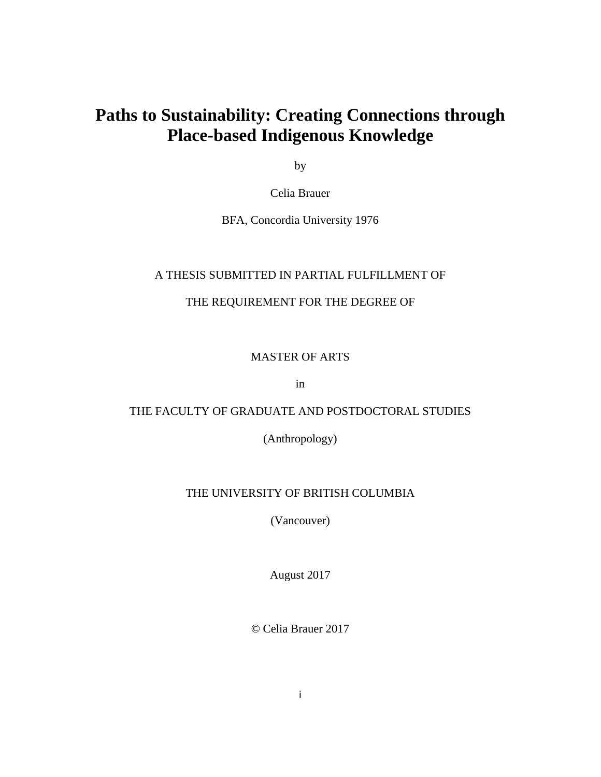# **Paths to Sustainability: Creating Connections through Place-based Indigenous Knowledge**

by

Celia Brauer

BFA, Concordia University 1976

#### A THESIS SUBMITTED IN PARTIAL FULFILLMENT OF

### THE REQUIREMENT FOR THE DEGREE OF

MASTER OF ARTS

in

### THE FACULTY OF GRADUATE AND POSTDOCTORAL STUDIES

(Anthropology)

#### THE UNIVERSITY OF BRITISH COLUMBIA

(Vancouver)

August 2017

© Celia Brauer 2017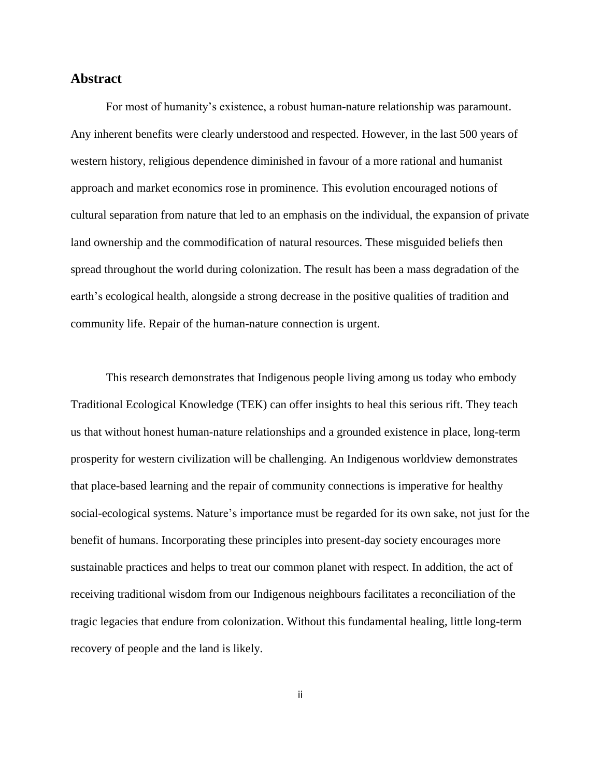#### <span id="page-1-0"></span>**Abstract**

For most of humanity's existence, a robust human-nature relationship was paramount. Any inherent benefits were clearly understood and respected. However, in the last 500 years of western history, religious dependence diminished in favour of a more rational and humanist approach and market economics rose in prominence. This evolution encouraged notions of cultural separation from nature that led to an emphasis on the individual, the expansion of private land ownership and the commodification of natural resources. These misguided beliefs then spread throughout the world during colonization. The result has been a mass degradation of the earth's ecological health, alongside a strong decrease in the positive qualities of tradition and community life. Repair of the human-nature connection is urgent.

This research demonstrates that Indigenous people living among us today who embody Traditional Ecological Knowledge (TEK) can offer insights to heal this serious rift. They teach us that without honest human-nature relationships and a grounded existence in place, long-term prosperity for western civilization will be challenging. An Indigenous worldview demonstrates that place-based learning and the repair of community connections is imperative for healthy social-ecological systems. Nature's importance must be regarded for its own sake, not just for the benefit of humans. Incorporating these principles into present-day society encourages more sustainable practices and helps to treat our common planet with respect. In addition, the act of receiving traditional wisdom from our Indigenous neighbours facilitates a reconciliation of the tragic legacies that endure from colonization. Without this fundamental healing, little long-term recovery of people and the land is likely.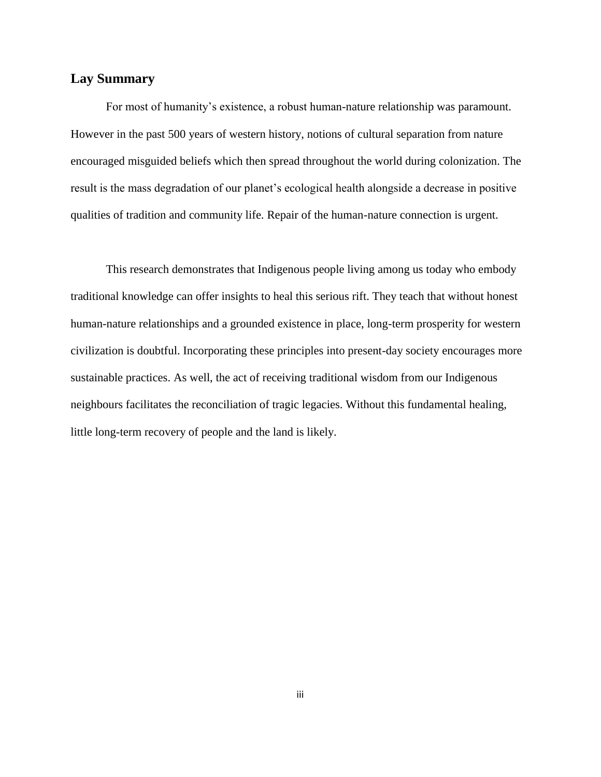#### <span id="page-2-0"></span>**Lay Summary**

For most of humanity's existence, a robust human-nature relationship was paramount. However in the past 500 years of western history, notions of cultural separation from nature encouraged misguided beliefs which then spread throughout the world during colonization. The result is the mass degradation of our planet's ecological health alongside a decrease in positive qualities of tradition and community life. Repair of the human-nature connection is urgent.

This research demonstrates that Indigenous people living among us today who embody traditional knowledge can offer insights to heal this serious rift. They teach that without honest human-nature relationships and a grounded existence in place, long-term prosperity for western civilization is doubtful. Incorporating these principles into present-day society encourages more sustainable practices. As well, the act of receiving traditional wisdom from our Indigenous neighbours facilitates the reconciliation of tragic legacies. Without this fundamental healing, little long-term recovery of people and the land is likely.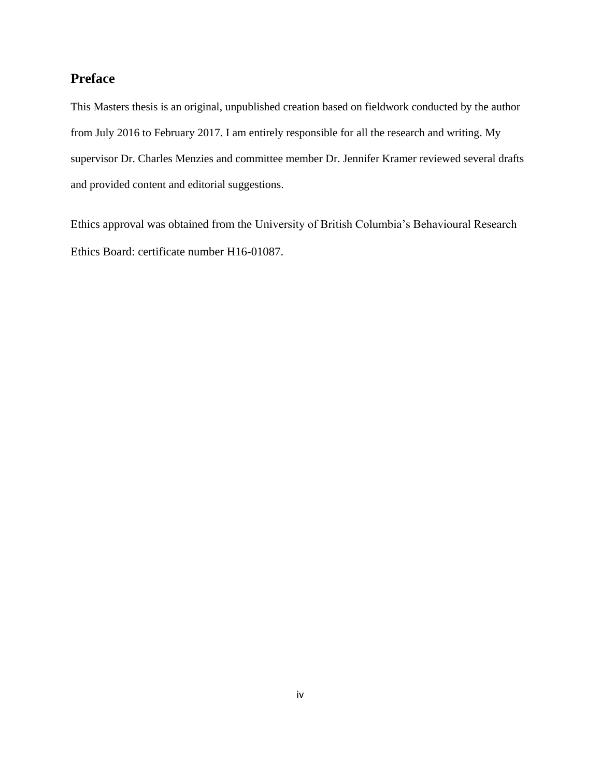## <span id="page-3-0"></span>**Preface**

This Masters thesis is an original, unpublished creation based on fieldwork conducted by the author from July 2016 to February 2017. I am entirely responsible for all the research and writing. My supervisor Dr. Charles Menzies and committee member Dr. Jennifer Kramer reviewed several drafts and provided content and editorial suggestions.

Ethics approval was obtained from the University of British Columbia's Behavioural Research Ethics Board: certificate number H16-01087.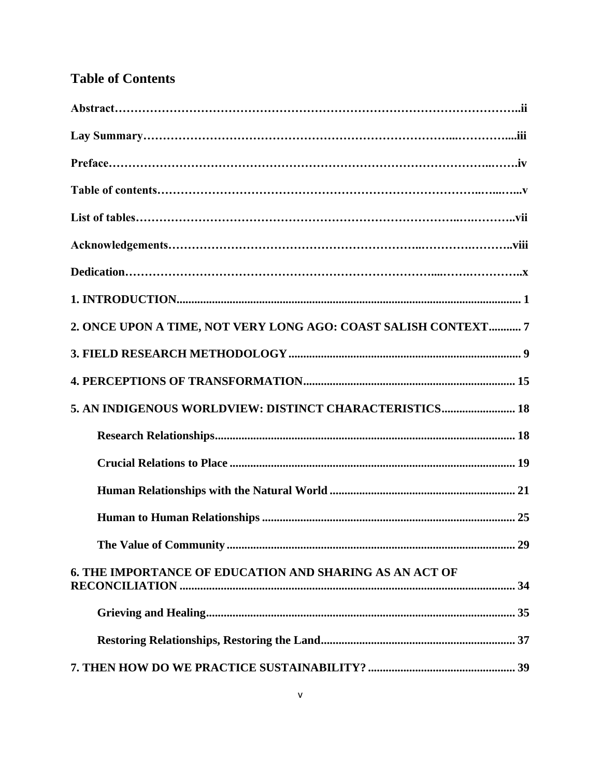## **Table of Contents**

| 2. ONCE UPON A TIME, NOT VERY LONG AGO: COAST SALISH CONTEXT 7 |
|----------------------------------------------------------------|
|                                                                |
|                                                                |
| 5. AN INDIGENOUS WORLDVIEW: DISTINCT CHARACTERISTICS 18        |
|                                                                |
|                                                                |
|                                                                |
|                                                                |
|                                                                |
| 6. THE IMPORTANCE OF EDUCATION AND SHARING AS AN ACT OF        |
|                                                                |
|                                                                |
|                                                                |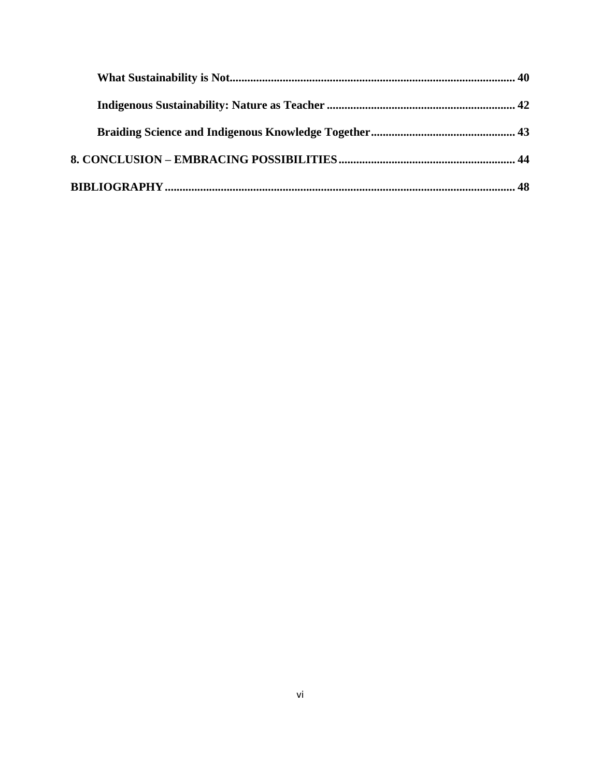<span id="page-5-0"></span>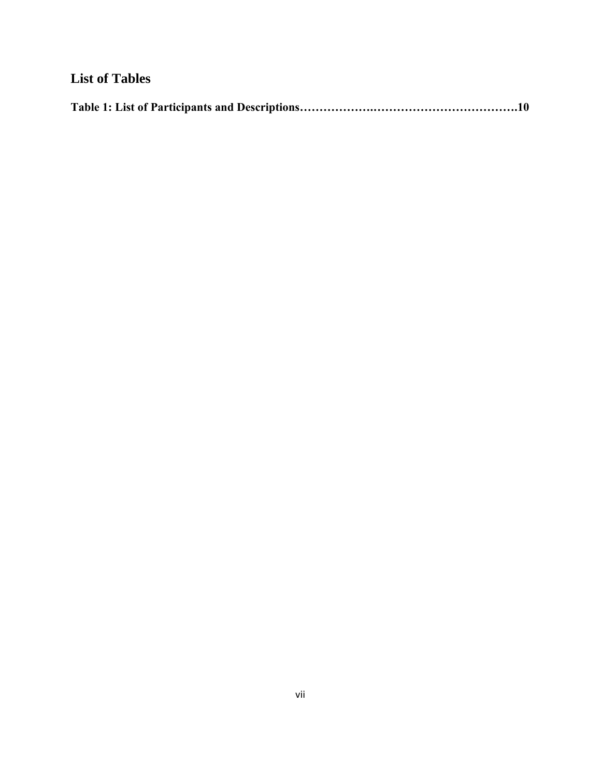## **List of Tables**

|--|--|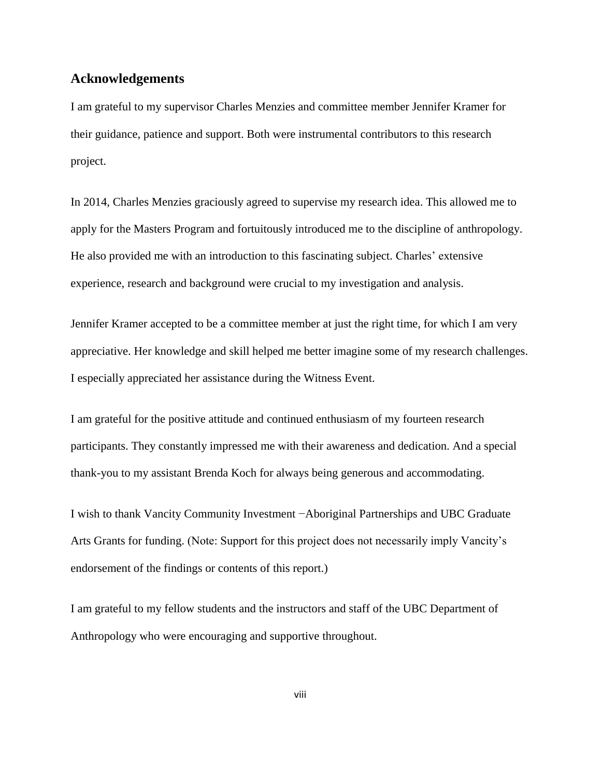#### **Acknowledgements**

I am grateful to my supervisor Charles Menzies and committee member Jennifer Kramer for their guidance, patience and support. Both were instrumental contributors to this research project.

In 2014, Charles Menzies graciously agreed to supervise my research idea. This allowed me to apply for the Masters Program and fortuitously introduced me to the discipline of anthropology. He also provided me with an introduction to this fascinating subject. Charles' extensive experience, research and background were crucial to my investigation and analysis.

Jennifer Kramer accepted to be a committee member at just the right time, for which I am very appreciative. Her knowledge and skill helped me better imagine some of my research challenges. I especially appreciated her assistance during the Witness Event.

I am grateful for the positive attitude and continued enthusiasm of my fourteen research participants. They constantly impressed me with their awareness and dedication. And a special thank-you to my assistant Brenda Koch for always being generous and accommodating.

I wish to thank Vancity Community Investment −Aboriginal Partnerships and UBC Graduate Arts Grants for funding. (Note: Support for this project does not necessarily imply Vancity's endorsement of the findings or contents of this report.)

I am grateful to my fellow students and the instructors and staff of the UBC Department of Anthropology who were encouraging and supportive throughout.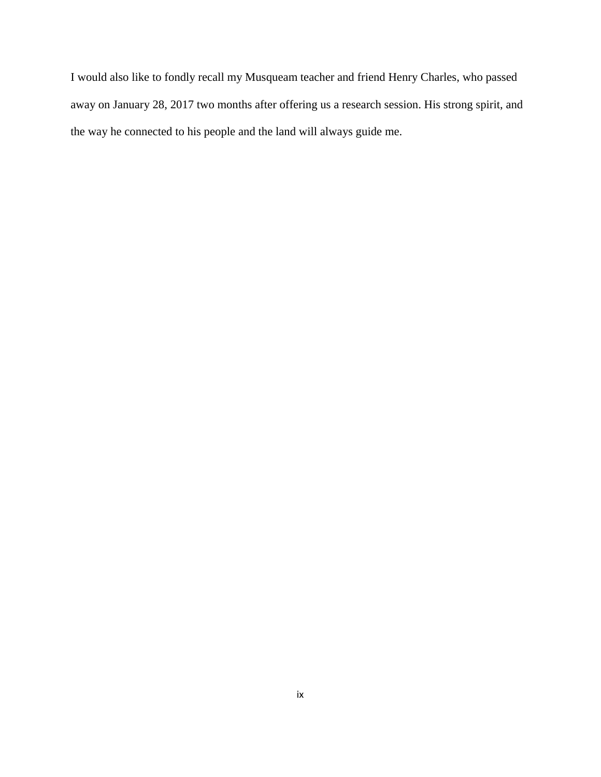I would also like to fondly recall my Musqueam teacher and friend Henry Charles, who passed away on January 28, 2017 two months after offering us a research session. His strong spirit, and the way he connected to his people and the land will always guide me.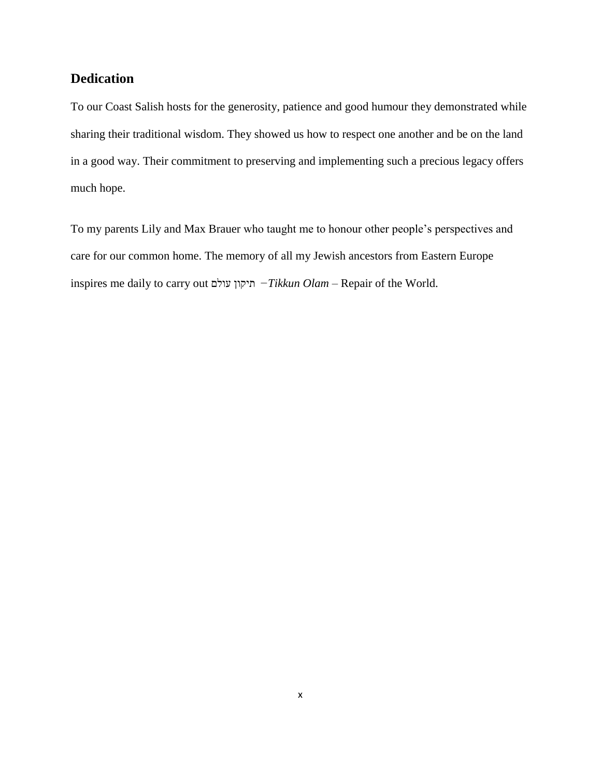## <span id="page-9-0"></span>**Dedication**

To our Coast Salish hosts for the generosity, patience and good humour they demonstrated while sharing their traditional wisdom. They showed us how to respect one another and be on the land in a good way. Their commitment to preserving and implementing such a precious legacy offers much hope.

To my parents Lily and Max Brauer who taught me to honour other people's perspectives and care for our common home. The memory of all my Jewish ancestors from Eastern Europe inspires me daily to carry out עולם תיקון *−Tikkun Olam* – Repair of the World.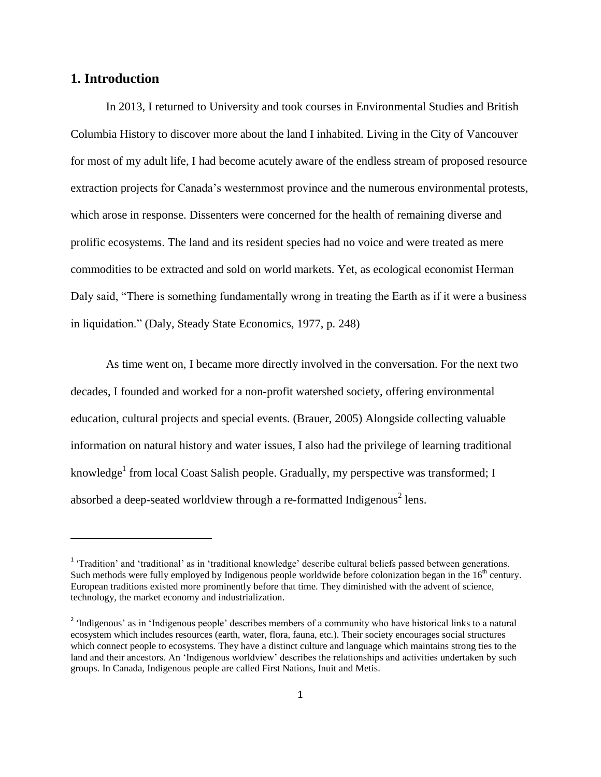### <span id="page-10-0"></span>**1. Introduction**

 $\overline{\phantom{a}}$ 

In 2013, I returned to University and took courses in Environmental Studies and British Columbia History to discover more about the land I inhabited. Living in the City of Vancouver for most of my adult life, I had become acutely aware of the endless stream of proposed resource extraction projects for Canada's westernmost province and the numerous environmental protests, which arose in response. Dissenters were concerned for the health of remaining diverse and prolific ecosystems. The land and its resident species had no voice and were treated as mere commodities to be extracted and sold on world markets. Yet, as ecological economist Herman Daly said, "There is something fundamentally wrong in treating the Earth as if it were a business in liquidation." (Daly, Steady State Economics, 1977, p. 248)

As time went on, I became more directly involved in the conversation. For the next two decades, I founded and worked for a non-profit watershed society, offering environmental education, cultural projects and special events. (Brauer, 2005) Alongside collecting valuable information on natural history and water issues, I also had the privilege of learning traditional knowledge<sup>1</sup> from local Coast Salish people. Gradually, my perspective was transformed; I absorbed a deep-seated worldview through a re-formatted Indigenous<sup>2</sup> lens.

<sup>&</sup>lt;sup>1</sup> 'Tradition' and 'traditional' as in 'traditional knowledge' describe cultural beliefs passed between generations. Such methods were fully employed by Indigenous people worldwide before colonization began in the 16<sup>th</sup> century. European traditions existed more prominently before that time. They diminished with the advent of science, technology, the market economy and industrialization.

<sup>&</sup>lt;sup>2</sup> 'Indigenous' as in 'Indigenous people' describes members of a community who have historical links to a natural ecosystem which includes resources (earth, water, flora, fauna, etc.). Their society encourages social structures which connect people to ecosystems. They have a distinct culture and language which maintains strong ties to the land and their ancestors. An 'Indigenous worldview' describes the relationships and activities undertaken by such groups. In Canada, Indigenous people are called First Nations, Inuit and Metis.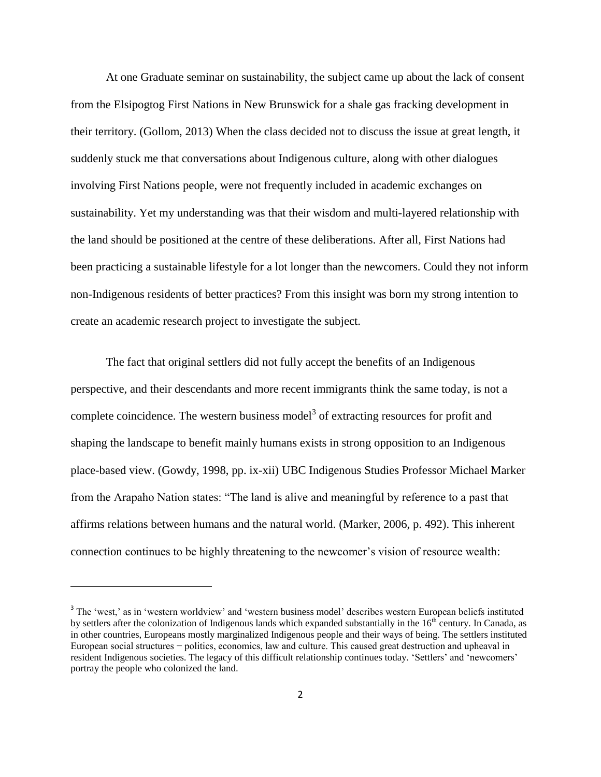At one Graduate seminar on sustainability, the subject came up about the lack of consent from the Elsipogtog First Nations in New Brunswick for a shale gas fracking development in their territory. (Gollom, 2013) When the class decided not to discuss the issue at great length, it suddenly stuck me that conversations about Indigenous culture, along with other dialogues involving First Nations people, were not frequently included in academic exchanges on sustainability. Yet my understanding was that their wisdom and multi-layered relationship with the land should be positioned at the centre of these deliberations. After all, First Nations had been practicing a sustainable lifestyle for a lot longer than the newcomers. Could they not inform non-Indigenous residents of better practices? From this insight was born my strong intention to create an academic research project to investigate the subject.

The fact that original settlers did not fully accept the benefits of an Indigenous perspective, and their descendants and more recent immigrants think the same today, is not a complete coincidence. The western business model<sup>3</sup> of extracting resources for profit and shaping the landscape to benefit mainly humans exists in strong opposition to an Indigenous place-based view. (Gowdy, 1998, pp. ix-xii) UBC Indigenous Studies Professor Michael Marker from the Arapaho Nation states: "The land is alive and meaningful by reference to a past that affirms relations between humans and the natural world. (Marker, 2006, p. 492). This inherent connection continues to be highly threatening to the newcomer's vision of resource wealth:

 $\overline{\phantom{a}}$ 

<sup>&</sup>lt;sup>3</sup> The 'west,' as in 'western worldview' and 'western business model' describes western European beliefs instituted by settlers after the colonization of Indigenous lands which expanded substantially in the 16<sup>th</sup> century. In Canada, as in other countries, Europeans mostly marginalized Indigenous people and their ways of being. The settlers instituted European social structures − politics, economics, law and culture. This caused great destruction and upheaval in resident Indigenous societies. The legacy of this difficult relationship continues today. 'Settlers' and 'newcomers' portray the people who colonized the land.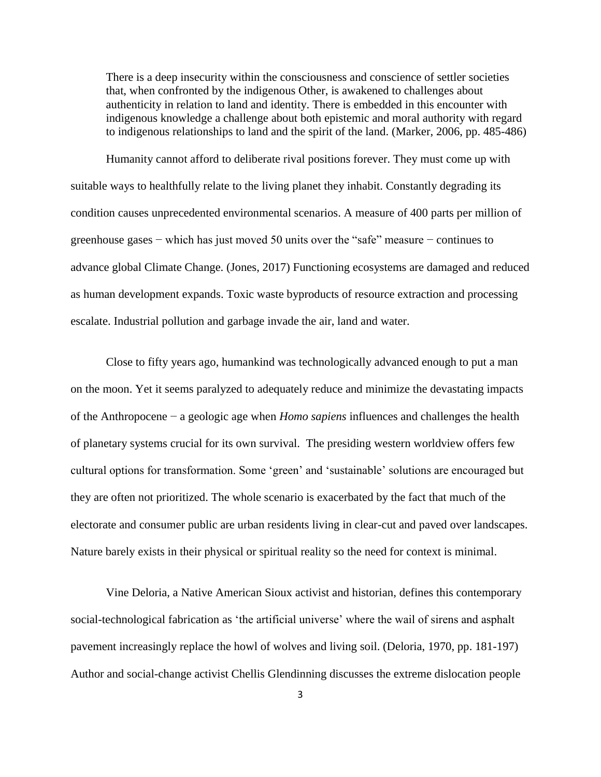There is a deep insecurity within the consciousness and conscience of settler societies that, when confronted by the indigenous Other, is awakened to challenges about authenticity in relation to land and identity. There is embedded in this encounter with indigenous knowledge a challenge about both epistemic and moral authority with regard to indigenous relationships to land and the spirit of the land. (Marker, 2006, pp. 485-486)

Humanity cannot afford to deliberate rival positions forever. They must come up with suitable ways to healthfully relate to the living planet they inhabit. Constantly degrading its condition causes unprecedented environmental scenarios. A measure of 400 parts per million of greenhouse gases − which has just moved 50 units over the "safe" measure − continues to advance global Climate Change. (Jones, 2017) Functioning ecosystems are damaged and reduced as human development expands. Toxic waste byproducts of resource extraction and processing escalate. Industrial pollution and garbage invade the air, land and water.

Close to fifty years ago, humankind was technologically advanced enough to put a man on the moon. Yet it seems paralyzed to adequately reduce and minimize the devastating impacts of the Anthropocene − a geologic age when *Homo sapiens* influences and challenges the health of planetary systems crucial for its own survival. The presiding western worldview offers few cultural options for transformation. Some 'green' and 'sustainable' solutions are encouraged but they are often not prioritized. The whole scenario is exacerbated by the fact that much of the electorate and consumer public are urban residents living in clear-cut and paved over landscapes. Nature barely exists in their physical or spiritual reality so the need for context is minimal.

Vine Deloria, a Native American Sioux activist and historian, defines this contemporary social-technological fabrication as 'the artificial universe' where the wail of sirens and asphalt pavement increasingly replace the howl of wolves and living soil. (Deloria, 1970, pp. 181-197) Author and social-change activist Chellis Glendinning discusses the extreme dislocation people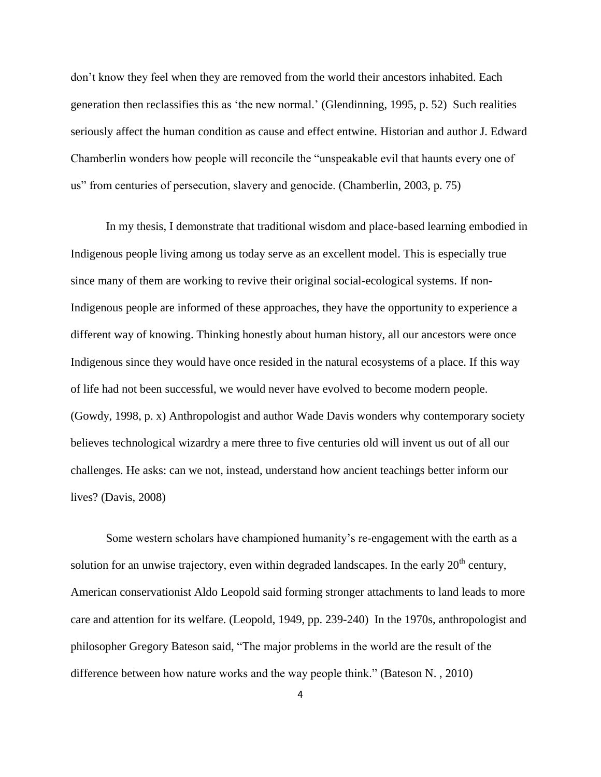don't know they feel when they are removed from the world their ancestors inhabited. Each generation then reclassifies this as 'the new normal.' (Glendinning, 1995, p. 52) Such realities seriously affect the human condition as cause and effect entwine. Historian and author J. Edward Chamberlin wonders how people will reconcile the "unspeakable evil that haunts every one of us" from centuries of persecution, slavery and genocide. (Chamberlin, 2003, p. 75)

In my thesis, I demonstrate that traditional wisdom and place-based learning embodied in Indigenous people living among us today serve as an excellent model. This is especially true since many of them are working to revive their original social-ecological systems. If non-Indigenous people are informed of these approaches, they have the opportunity to experience a different way of knowing. Thinking honestly about human history, all our ancestors were once Indigenous since they would have once resided in the natural ecosystems of a place. If this way of life had not been successful, we would never have evolved to become modern people. (Gowdy, 1998, p. x) Anthropologist and author Wade Davis wonders why contemporary society believes technological wizardry a mere three to five centuries old will invent us out of all our challenges. He asks: can we not, instead, understand how ancient teachings better inform our lives? (Davis, 2008)

Some western scholars have championed humanity's re-engagement with the earth as a solution for an unwise trajectory, even within degraded landscapes. In the early  $20<sup>th</sup>$  century, American conservationist Aldo Leopold said forming stronger attachments to land leads to more care and attention for its welfare. (Leopold, 1949, pp. 239-240) In the 1970s, anthropologist and philosopher Gregory Bateson said, "The major problems in the world are the result of the difference between how nature works and the way people think." (Bateson N. , 2010)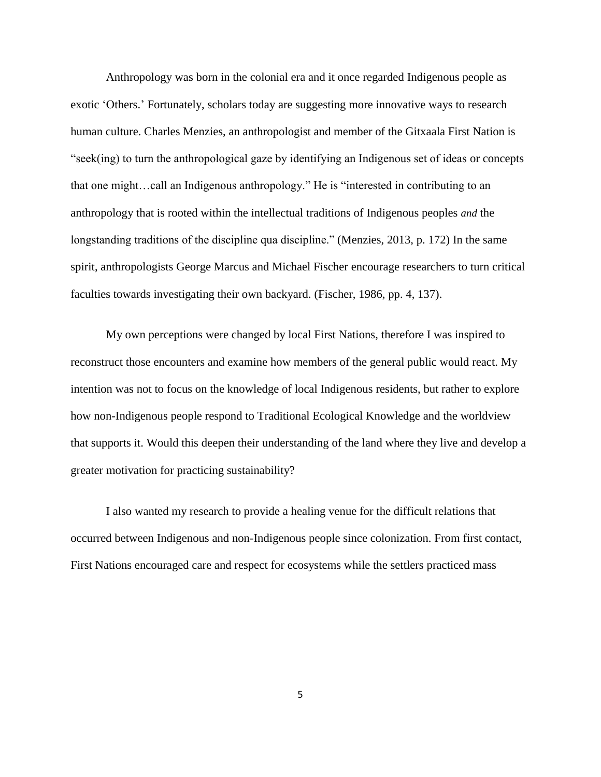Anthropology was born in the colonial era and it once regarded Indigenous people as exotic 'Others.' Fortunately, scholars today are suggesting more innovative ways to research human culture. Charles Menzies, an anthropologist and member of the Gitxaala First Nation is "seek(ing) to turn the anthropological gaze by identifying an Indigenous set of ideas or concepts that one might…call an Indigenous anthropology." He is "interested in contributing to an anthropology that is rooted within the intellectual traditions of Indigenous peoples *and* the longstanding traditions of the discipline qua discipline." (Menzies, 2013, p. 172) In the same spirit, anthropologists George Marcus and Michael Fischer encourage researchers to turn critical faculties towards investigating their own backyard. (Fischer, 1986, pp. 4, 137).

My own perceptions were changed by local First Nations, therefore I was inspired to reconstruct those encounters and examine how members of the general public would react. My intention was not to focus on the knowledge of local Indigenous residents, but rather to explore how non-Indigenous people respond to Traditional Ecological Knowledge and the worldview that supports it. Would this deepen their understanding of the land where they live and develop a greater motivation for practicing sustainability?

I also wanted my research to provide a healing venue for the difficult relations that occurred between Indigenous and non-Indigenous people since colonization. From first contact, First Nations encouraged care and respect for ecosystems while the settlers practiced mass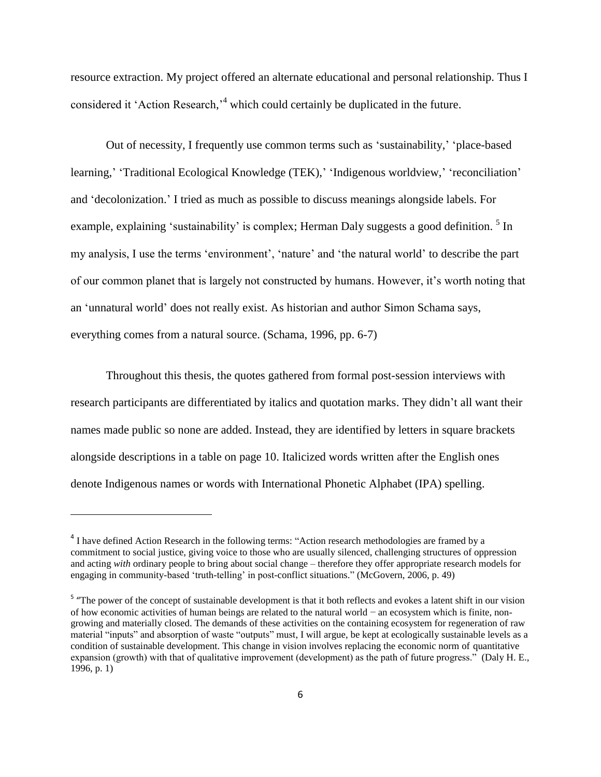resource extraction. My project offered an alternate educational and personal relationship. Thus I considered it 'Action Research,<sup>14</sup> which could certainly be duplicated in the future.

Out of necessity, I frequently use common terms such as 'sustainability,' 'place-based learning,' 'Traditional Ecological Knowledge (TEK),' 'Indigenous worldview,' 'reconciliation' and 'decolonization.' I tried as much as possible to discuss meanings alongside labels. For example, explaining 'sustainability' is complex; Herman Daly suggests a good definition. <sup>5</sup> In my analysis, I use the terms 'environment', 'nature' and 'the natural world' to describe the part of our common planet that is largely not constructed by humans. However, it's worth noting that an 'unnatural world' does not really exist. As historian and author Simon Schama says, everything comes from a natural source. (Schama, 1996, pp. 6-7)

Throughout this thesis, the quotes gathered from formal post-session interviews with research participants are differentiated by italics and quotation marks. They didn't all want their names made public so none are added. Instead, they are identified by letters in square brackets alongside descriptions in a table on page 10. Italicized words written after the English ones denote Indigenous names or words with International Phonetic Alphabet (IPA) spelling.

 $\overline{\phantom{a}}$ 

<sup>&</sup>lt;sup>4</sup> I have defined Action Research in the following terms: "Action research methodologies are framed by a commitment to social justice, giving voice to those who are usually silenced, challenging structures of oppression and acting *with* ordinary people to bring about social change – therefore they offer appropriate research models for engaging in community-based 'truth-telling' in post-conflict situations." (McGovern, 2006, p. 49)

<sup>&</sup>lt;sup>5</sup> "The power of the concept of sustainable development is that it both reflects and evokes a latent shift in our vision of how economic activities of human beings are related to the natural world − an ecosystem which is finite, nongrowing and materially closed. The demands of these activities on the containing ecosystem for regeneration of raw material "inputs" and absorption of waste "outputs" must, I will argue, be kept at ecologically sustainable levels as a condition of sustainable development. This change in vision involves replacing the economic norm of quantitative expansion (growth) with that of qualitative improvement (development) as the path of future progress." (Daly H. E., 1996, p. 1)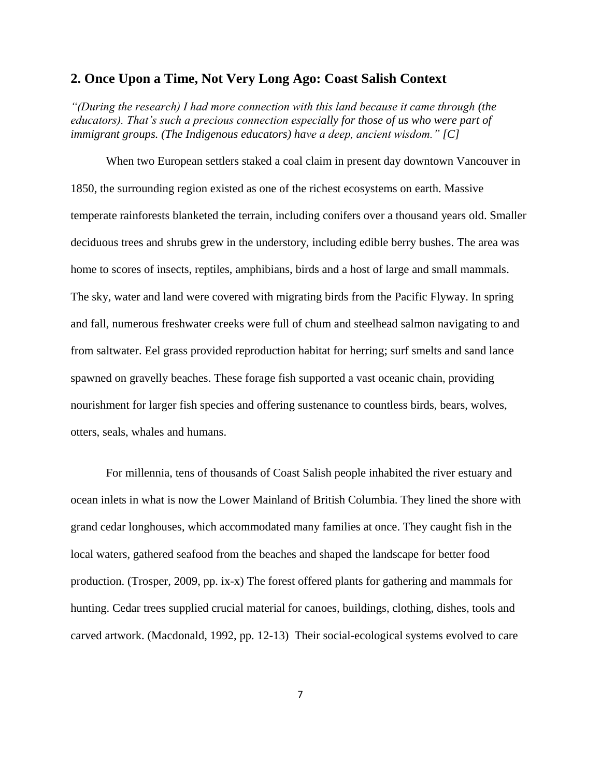#### <span id="page-16-0"></span>**2. Once Upon a Time, Not Very Long Ago: Coast Salish Context**

*"(During the research) I had more connection with this land because it came through (the educators). That's such a precious connection especially for those of us who were part of immigrant groups. (The Indigenous educators) have a deep, ancient wisdom." [C]*

When two European settlers staked a coal claim in present day downtown Vancouver in 1850, the surrounding region existed as one of the richest ecosystems on earth. Massive temperate rainforests blanketed the terrain, including conifers over a thousand years old. Smaller deciduous trees and shrubs grew in the understory, including edible berry bushes. The area was home to scores of insects, reptiles, amphibians, birds and a host of large and small mammals. The sky, water and land were covered with migrating birds from the Pacific Flyway. In spring and fall, numerous freshwater creeks were full of chum and steelhead salmon navigating to and from saltwater. Eel grass provided reproduction habitat for herring; surf smelts and sand lance spawned on gravelly beaches. These forage fish supported a vast oceanic chain, providing nourishment for larger fish species and offering sustenance to countless birds, bears, wolves, otters, seals, whales and humans.

For millennia, tens of thousands of Coast Salish people inhabited the river estuary and ocean inlets in what is now the Lower Mainland of British Columbia. They lined the shore with grand cedar longhouses, which accommodated many families at once. They caught fish in the local waters, gathered seafood from the beaches and shaped the landscape for better food production. (Trosper, 2009, pp. ix-x) The forest offered plants for gathering and mammals for hunting. Cedar trees supplied crucial material for canoes, buildings, clothing, dishes, tools and carved artwork. (Macdonald, 1992, pp. 12-13) Their social-ecological systems evolved to care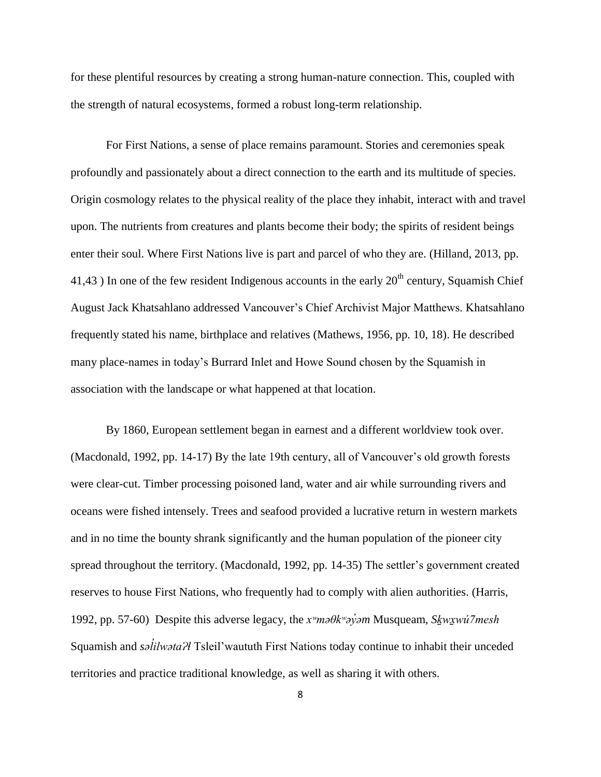for these plentiful resources by creating a strong human-nature connection. This, coupled with the strength of natural ecosystems, formed a robust long-term relationship.

For First Nations, a sense of place remains paramount. Stories and ceremonies speak profoundly and passionately about a direct connection to the earth and its multitude of species. Origin cosmology relates to the physical reality of the place they inhabit, interact with and travel upon. The nutrients from creatures and plants become their body; the spirits of resident beings enter their soul. Where First Nations live is part and parcel of who they are. (Hilland, 2013, pp. 41,43 ) In one of the few resident Indigenous accounts in the early  $20<sup>th</sup>$  century, Squamish Chief August Jack Khatsahlano addressed Vancouver's Chief Archivist Major Matthews. Khatsahlano frequently stated his name, birthplace and relatives (Mathews, 1956, pp. 10, 18). He described many place-names in today's Burrard Inlet and Howe Sound chosen by the Squamish in association with the landscape or what happened at that location.

By 1860, European settlement began in earnest and a different worldview took over. (Macdonald, 1992, pp. 14-17) By the late 19th century, all of Vancouver's old growth forests were clear-cut. Timber processing poisoned land, water and air while surrounding rivers and oceans were fished intensely. Trees and seafood provided a lucrative return in western markets and in no time the bounty shrank significantly and the human population of the pioneer city spread throughout the territory. (Macdonald, 1992, pp. 14-35) The settler's government created reserves to house First Nations, who frequently had to comply with alien authorities. (Harris, 1992, pp. 57-60) Despite this adverse legacy, the *xʷməθkʷəy̓əm* Musqueam, *Sḵwx̱wú7mesh* Squamish and *səlilwəta?l* Tsleil'waututh First Nations today continue to inhabit their unceded *̓* territories and practice traditional knowledge, as well as sharing it with others.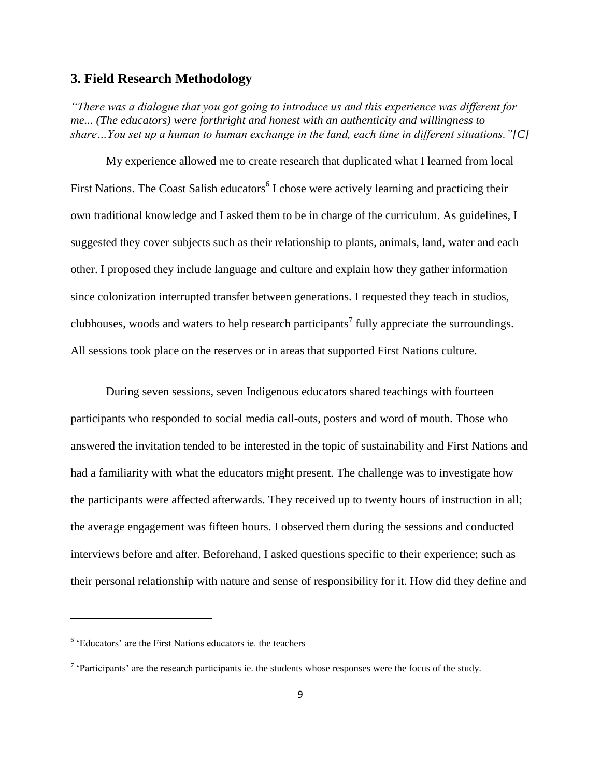#### <span id="page-18-0"></span>**3. Field Research Methodology**

*"There was a dialogue that you got going to introduce us and this experience was different for me... (The educators) were forthright and honest with an authenticity and willingness to share…You set up a human to human exchange in the land, each time in different situations."[C]*

My experience allowed me to create research that duplicated what I learned from local First Nations. The Coast Salish educators<sup>6</sup> I chose were actively learning and practicing their own traditional knowledge and I asked them to be in charge of the curriculum. As guidelines, I suggested they cover subjects such as their relationship to plants, animals, land, water and each other. I proposed they include language and culture and explain how they gather information since colonization interrupted transfer between generations. I requested they teach in studios, clubhouses, woods and waters to help research participants<sup>7</sup> fully appreciate the surroundings. All sessions took place on the reserves or in areas that supported First Nations culture.

During seven sessions, seven Indigenous educators shared teachings with fourteen participants who responded to social media call-outs, posters and word of mouth. Those who answered the invitation tended to be interested in the topic of sustainability and First Nations and had a familiarity with what the educators might present. The challenge was to investigate how the participants were affected afterwards. They received up to twenty hours of instruction in all; the average engagement was fifteen hours. I observed them during the sessions and conducted interviews before and after. Beforehand, I asked questions specific to their experience; such as their personal relationship with nature and sense of responsibility for it. How did they define and

 $\overline{\phantom{a}}$ 

<sup>6</sup> 'Educators' are the First Nations educators ie. the teachers

 $7$  'Participants' are the research participants ie. the students whose responses were the focus of the study.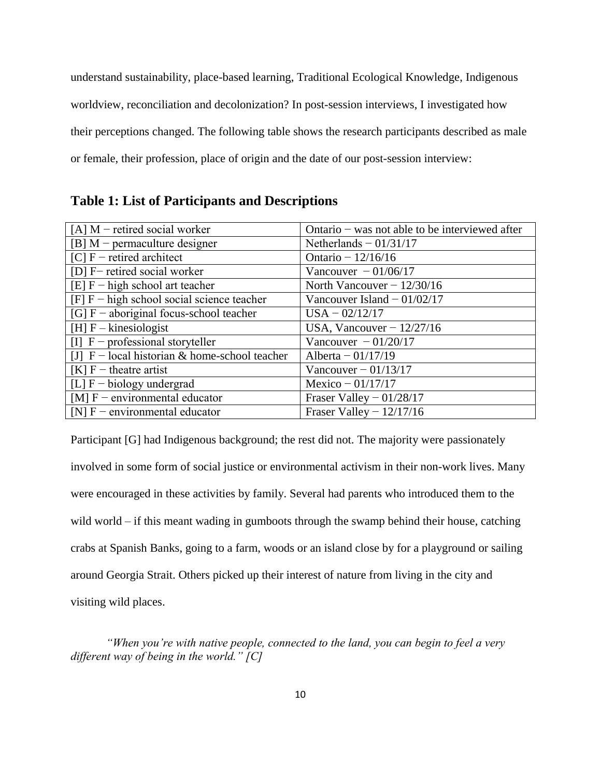understand sustainability, place-based learning, Traditional Ecological Knowledge, Indigenous worldview, reconciliation and decolonization? In post-session interviews, I investigated how their perceptions changed. The following table shows the research participants described as male or female, their profession, place of origin and the date of our post-session interview:

## **Table 1: List of Participants and Descriptions**

| $[A]$ M – retired social worker                 | Ontario $-$ was not able to be interviewed after |
|-------------------------------------------------|--------------------------------------------------|
| $[B]$ M – permaculture designer                 | Netherlands $-01/31/17$                          |
| $[C]$ F – retired architect                     | Ontario $-12/16/16$                              |
| [D] F- retired social worker                    | Vancouver $-01/06/17$                            |
| $[E]$ F – high school art teacher               | North Vancouver $- 12/30/16$                     |
| $[F]$ F – high school social science teacher    | Vancouver Island $-01/02/17$                     |
| [G] $F$ – aboriginal focus-school teacher       | $USA - 02/12/17$                                 |
| $[H]$ F – kinesiologist                         | USA, Vancouver $-12/27/16$                       |
| [I] $F$ – professional storyteller              | Vancouver $-01/20/17$                            |
| [J] $F$ – local historian & home-school teacher | Alberta $-01/17/19$                              |
| $[K]$ F – theatre artist                        | Vancouver $-01/13/17$                            |
| [L] $F - biology$ undergrad                     | Mexico $- 01/17/17$                              |
| [M] $F$ – environmental educator                | Fraser Valley $-01/28/17$                        |
| [N] $F$ – environmental educator                | Fraser Valley $- 12/17/16$                       |

Participant [G] had Indigenous background; the rest did not. The majority were passionately involved in some form of social justice or environmental activism in their non-work lives. Many were encouraged in these activities by family. Several had parents who introduced them to the wild world – if this meant wading in gumboots through the swamp behind their house, catching crabs at Spanish Banks, going to a farm, woods or an island close by for a playground or sailing around Georgia Strait. Others picked up their interest of nature from living in the city and visiting wild places.

*"When you're with native people, connected to the land, you can begin to feel a very different way of being in the world." [C]*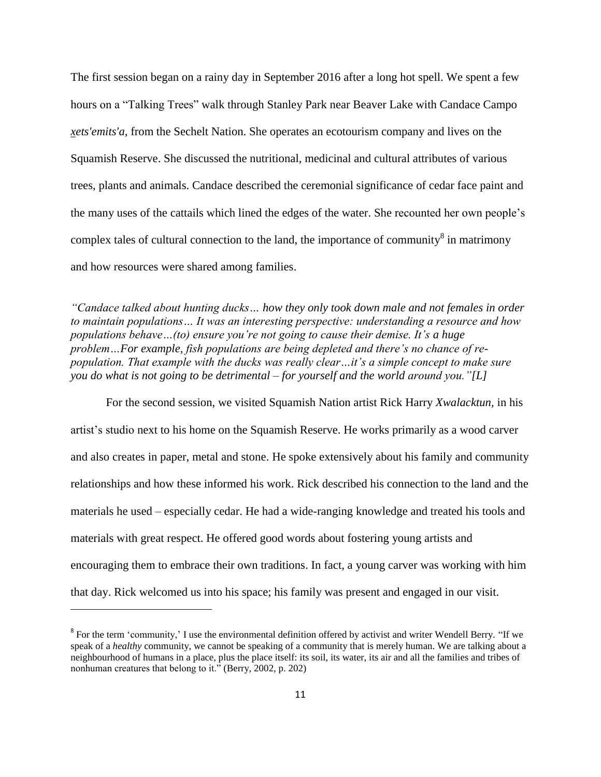The first session began on a rainy day in September 2016 after a long hot spell. We spent a few hours on a "Talking Trees" walk through Stanley Park near Beaver Lake with Candace Campo *xets'emits'a*, from the Sechelt Nation. She operates an ecotourism company and lives on the Squamish Reserve. She discussed the nutritional, medicinal and cultural attributes of various trees, plants and animals. Candace described the ceremonial significance of cedar face paint and the many uses of the cattails which lined the edges of the water. She recounted her own people's complex tales of cultural connection to the land, the importance of community $\delta$  in matrimony and how resources were shared among families.

*"Candace talked about hunting ducks… how they only took down male and not females in order to maintain populations… It was an interesting perspective: understanding a resource and how populations behave…(to) ensure you're not going to cause their demise. It's a huge problem…For example, fish populations are being depleted and there's no chance of repopulation. That example with the ducks was really clear…it's a simple concept to make sure you do what is not going to be detrimental – for yourself and the world around you."[L]* 

For the second session, we visited Squamish Nation artist Rick Harry *Xwalacktun,* in his artist's studio next to his home on the Squamish Reserve. He works primarily as a wood carver and also creates in paper, metal and stone. He spoke extensively about his family and community relationships and how these informed his work. Rick described his connection to the land and the materials he used – especially cedar. He had a wide-ranging knowledge and treated his tools and materials with great respect. He offered good words about fostering young artists and encouraging them to embrace their own traditions. In fact, a young carver was working with him that day. Rick welcomed us into his space; his family was present and engaged in our visit.

 $\overline{\phantom{a}}$ 

<sup>&</sup>lt;sup>8</sup> For the term 'community,' I use the environmental definition offered by activist and writer Wendell Berry. "If we speak of a *healthy* community, we cannot be speaking of a community that is merely human. We are talking about a neighbourhood of humans in a place, plus the place itself: its soil, its water, its air and all the families and tribes of nonhuman creatures that belong to it." (Berry, 2002, p. 202)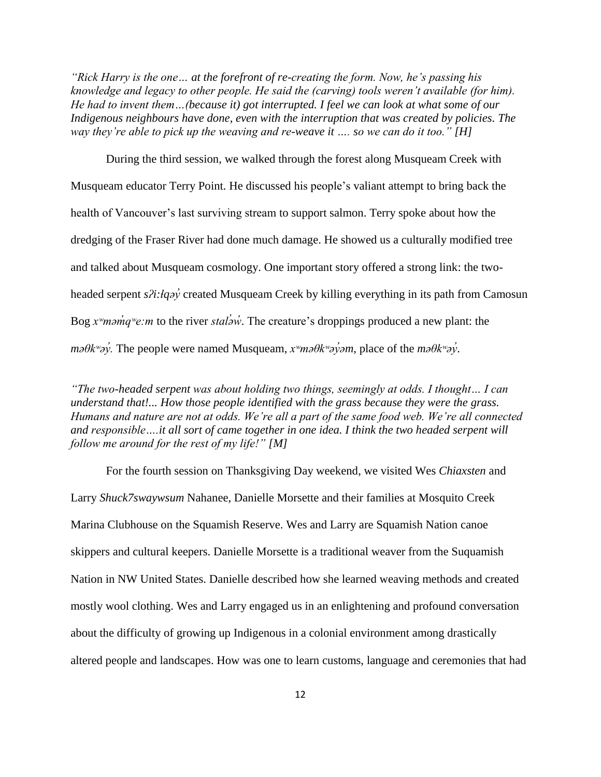*"Rick Harry is the one… at the forefront of re-creating the form. Now, he's passing his knowledge and legacy to other people. He said the (carving) tools weren't available (for him). He had to invent them…(because it) got interrupted. I feel we can look at what some of our Indigenous neighbours have done, even with the interruption that was created by policies. The way they're able to pick up the weaving and re-weave it …. so we can do it too." [H]*

During the third session, we walked through the forest along Musqueam Creek with Musqueam educator Terry Point. He discussed his people's valiant attempt to bring back the health of Vancouver's last surviving stream to support salmon. Terry spoke about how the dredging of the Fraser River had done much damage. He showed us a culturally modified tree and talked about Musqueam cosmology. One important story offered a strong link: the twoheaded serpent *sʔi:łqəy'* created Musqueam Creek by killing everything in its path from Camosun Bog *x<sup>w</sup>məm<sup>'</sup>q<sup>w</sup>e:m* to the river *stal*<sup>2</sup>*w*<sup>2</sup>. The creature's droppings produced a new plant: the *məθkʷəy̓.* The people were named Musqueam, *xʷməθkʷəy̓əm*, place of the *məθkʷəy̓*.

*"The two-headed serpent was about holding two things, seemingly at odds. I thought… I can understand that!... How those people identified with the grass because they were the grass. Humans and nature are not at odds. We're all a part of the same food web. We're all connected and responsible….it all sort of came together in one idea. I think the two headed serpent will follow me around for the rest of my life!" [M]*

For the fourth session on Thanksgiving Day weekend, we visited Wes *Chiaxsten* and Larry *Shuck7swaywsum* Nahanee, Danielle Morsette and their families at Mosquito Creek Marina Clubhouse on the Squamish Reserve. Wes and Larry are Squamish Nation canoe skippers and cultural keepers. Danielle Morsette is a traditional weaver from the Suquamish Nation in NW United States. Danielle described how she learned weaving methods and created mostly wool clothing. Wes and Larry engaged us in an enlightening and profound conversation about the difficulty of growing up Indigenous in a colonial environment among drastically altered people and landscapes. How was one to learn customs, language and ceremonies that had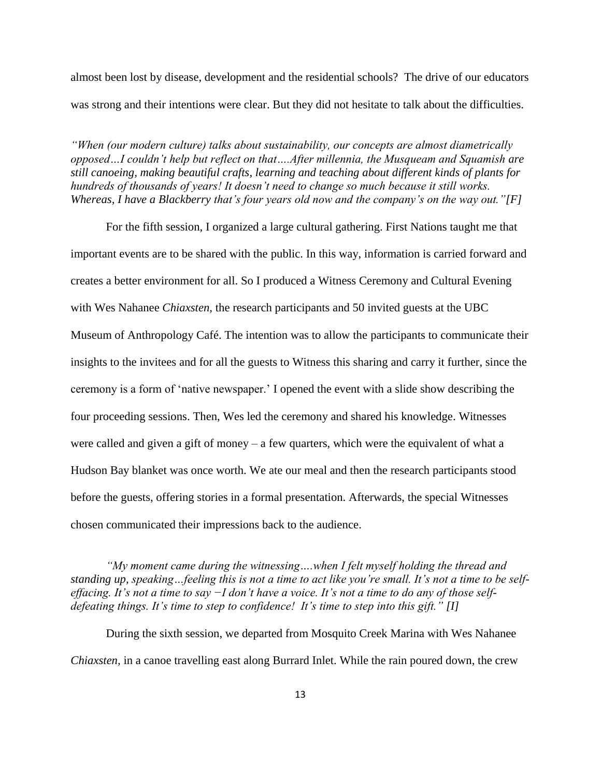almost been lost by disease, development and the residential schools? The drive of our educators was strong and their intentions were clear. But they did not hesitate to talk about the difficulties.

*"When (our modern culture) talks about sustainability, our concepts are almost diametrically opposed…I couldn't help but reflect on that….After millennia, the Musqueam and Squamish are still canoeing, making beautiful crafts, learning and teaching about different kinds of plants for hundreds of thousands of years! It doesn't need to change so much because it still works. Whereas, I have a Blackberry that's four years old now and the company's on the way out."[F]*

For the fifth session, I organized a large cultural gathering. First Nations taught me that important events are to be shared with the public. In this way, information is carried forward and creates a better environment for all. So I produced a Witness Ceremony and Cultural Evening with Wes Nahanee *Chiaxsten,* the research participants and 50 invited guests at the UBC Museum of Anthropology Café. The intention was to allow the participants to communicate their insights to the invitees and for all the guests to Witness this sharing and carry it further, since the ceremony is a form of 'native newspaper.' I opened the event with a slide show describing the four proceeding sessions. Then, Wes led the ceremony and shared his knowledge. Witnesses were called and given a gift of money – a few quarters, which were the equivalent of what a Hudson Bay blanket was once worth. We ate our meal and then the research participants stood before the guests, offering stories in a formal presentation. Afterwards, the special Witnesses chosen communicated their impressions back to the audience.

*"My moment came during the witnessing….when I felt myself holding the thread and standing up, speaking…feeling this is not a time to act like you're small. It's not a time to be selfeffacing. It's not a time to say −I don't have a voice. It's not a time to do any of those selfdefeating things. It's time to step to confidence! It's time to step into this gift." [I]*

During the sixth session, we departed from Mosquito Creek Marina with Wes Nahanee *Chiaxsten,* in a canoe travelling east along Burrard Inlet. While the rain poured down, the crew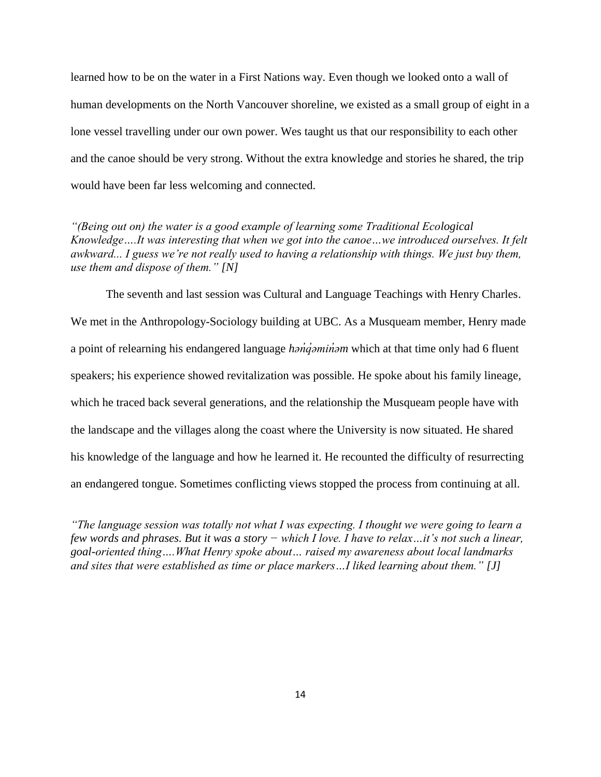learned how to be on the water in a First Nations way. Even though we looked onto a wall of human developments on the North Vancouver shoreline, we existed as a small group of eight in a lone vessel travelling under our own power. Wes taught us that our responsibility to each other and the canoe should be very strong. Without the extra knowledge and stories he shared, the trip would have been far less welcoming and connected.

*"(Being out on) the water is a good example of learning some Traditional Ecological Knowledge….It was interesting that when we got into the canoe…we introduced ourselves. It felt awkward... I guess we're not really used to having a relationship with things. We just buy them, use them and dispose of them." [N]*

The seventh and last session was Cultural and Language Teachings with Henry Charles. We met in the Anthropology-Sociology building at UBC. As a Musqueam member, Henry made a point of relearning his endangered language *hən̓q̓əmin̓əm* which at that time only had 6 fluent speakers; his experience showed revitalization was possible. He spoke about his family lineage, which he traced back several generations, and the relationship the Musqueam people have with the landscape and the villages along the coast where the University is now situated. He shared his knowledge of the language and how he learned it. He recounted the difficulty of resurrecting an endangered tongue. Sometimes conflicting views stopped the process from continuing at all.

<span id="page-23-0"></span>*"The language session was totally not what I was expecting. I thought we were going to learn a few words and phrases. But it was a story − which I love. I have to relax…it's not such a linear, goal-oriented thing….What Henry spoke about… raised my awareness about local landmarks and sites that were established as time or place markers…I liked learning about them." [J]*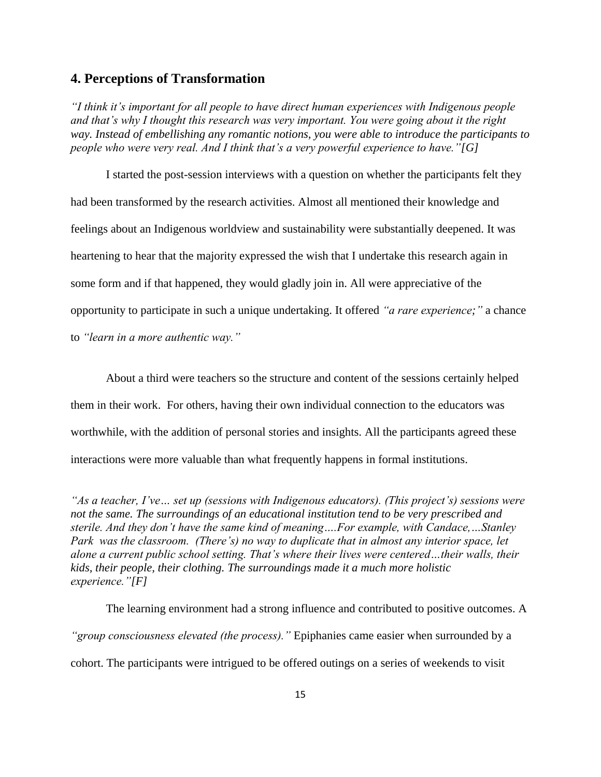## **4. Perceptions of Transformation**

*"I think it's important for all people to have direct human experiences with Indigenous people and that's why I thought this research was very important. You were going about it the right way. Instead of embellishing any romantic notions, you were able to introduce the participants to people who were very real. And I think that's a very powerful experience to have."[G]*

I started the post-session interviews with a question on whether the participants felt they had been transformed by the research activities. Almost all mentioned their knowledge and feelings about an Indigenous worldview and sustainability were substantially deepened. It was heartening to hear that the majority expressed the wish that I undertake this research again in some form and if that happened, they would gladly join in. All were appreciative of the opportunity to participate in such a unique undertaking. It offered *"a rare experience;"* a chance to *"learn in a more authentic way."* 

About a third were teachers so the structure and content of the sessions certainly helped them in their work. For others, having their own individual connection to the educators was worthwhile, with the addition of personal stories and insights. All the participants agreed these interactions were more valuable than what frequently happens in formal institutions.

*"As a teacher, I've… set up (sessions with Indigenous educators). (This project's) sessions were not the same. The surroundings of an educational institution tend to be very prescribed and sterile. And they don't have the same kind of meaning….For example, with Candace,…Stanley Park was the classroom. (There's) no way to duplicate that in almost any interior space, let alone a current public school setting. That's where their lives were centered…their walls, their kids, their people, their clothing. The surroundings made it a much more holistic experience."[F]*

The learning environment had a strong influence and contributed to positive outcomes. A *"group consciousness elevated (the process)."* Epiphanies came easier when surrounded by a cohort. The participants were intrigued to be offered outings on a series of weekends to visit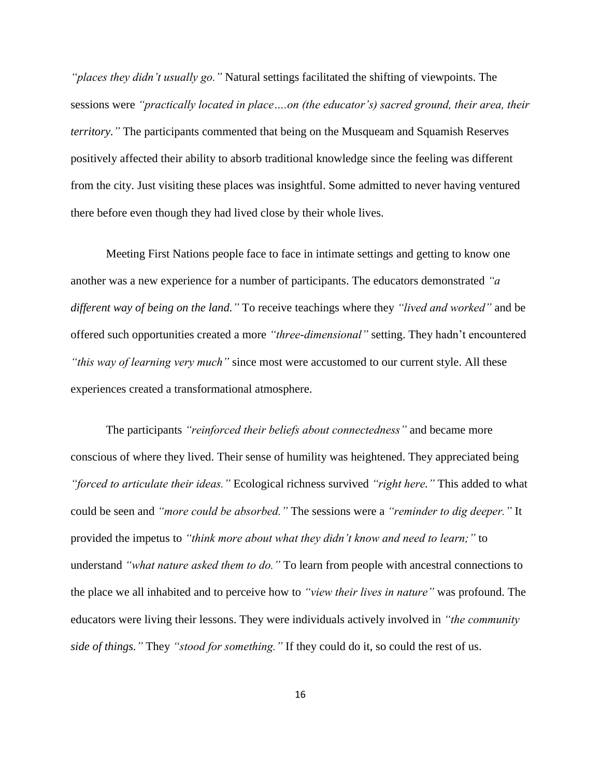*"places they didn't usually go."* Natural settings facilitated the shifting of viewpoints. The sessions were *"practically located in place….on (the educator's) sacred ground, their area, their territory."* The participants commented that being on the Musqueam and Squamish Reserves positively affected their ability to absorb traditional knowledge since the feeling was different from the city. Just visiting these places was insightful. Some admitted to never having ventured there before even though they had lived close by their whole lives.

Meeting First Nations people face to face in intimate settings and getting to know one another was a new experience for a number of participants. The educators demonstrated *"a different way of being on the land."* To receive teachings where they *"lived and worked"* and be offered such opportunities created a more *"three-dimensional"* setting. They hadn't encountered *"this way of learning very much"* since most were accustomed to our current style. All these experiences created a transformational atmosphere.

The participants *"reinforced their beliefs about connectedness"* and became more conscious of where they lived. Their sense of humility was heightened. They appreciated being *"forced to articulate their ideas."* Ecological richness survived *"right here."* This added to what could be seen and *"more could be absorbed."* The sessions were a *"reminder to dig deeper."* It provided the impetus to *"think more about what they didn't know and need to learn;"* to understand *"what nature asked them to do."* To learn from people with ancestral connections to the place we all inhabited and to perceive how to *"view their lives in nature"* was profound. The educators were living their lessons. They were individuals actively involved in *"the community side of things."* They *"stood for something."* If they could do it, so could the rest of us.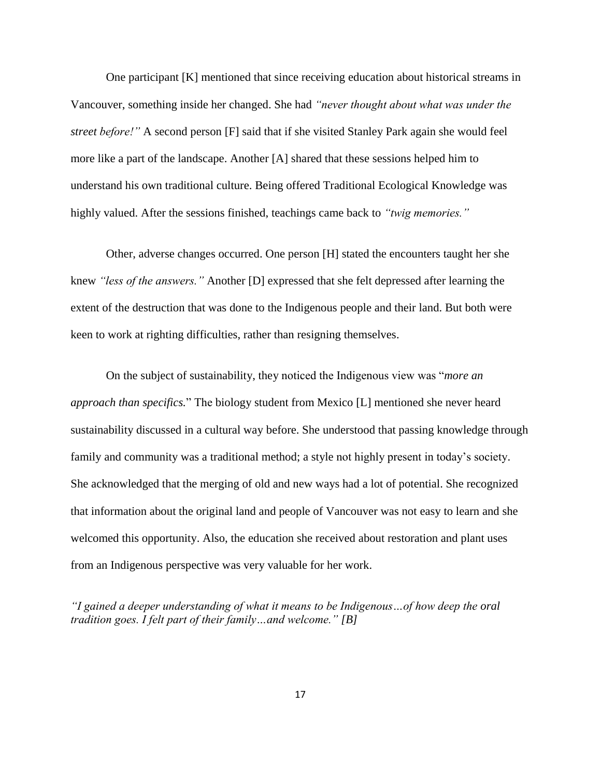One participant [K] mentioned that since receiving education about historical streams in Vancouver, something inside her changed. She had *"never thought about what was under the street before!"* A second person [F] said that if she visited Stanley Park again she would feel more like a part of the landscape. Another [A] shared that these sessions helped him to understand his own traditional culture. Being offered Traditional Ecological Knowledge was highly valued. After the sessions finished, teachings came back to *"twig memories."*

Other, adverse changes occurred. One person [H] stated the encounters taught her she knew *"less of the answers."* Another [D] expressed that she felt depressed after learning the extent of the destruction that was done to the Indigenous people and their land. But both were keen to work at righting difficulties, rather than resigning themselves.

On the subject of sustainability, they noticed the Indigenous view was "*more an approach than specifics.*" The biology student from Mexico [L] mentioned she never heard sustainability discussed in a cultural way before. She understood that passing knowledge through family and community was a traditional method; a style not highly present in today's society. She acknowledged that the merging of old and new ways had a lot of potential. She recognized that information about the original land and people of Vancouver was not easy to learn and she welcomed this opportunity. Also, the education she received about restoration and plant uses from an Indigenous perspective was very valuable for her work.

*"I gained a deeper understanding of what it means to be Indigenous…of how deep the oral tradition goes. I felt part of their family…and welcome." [B]*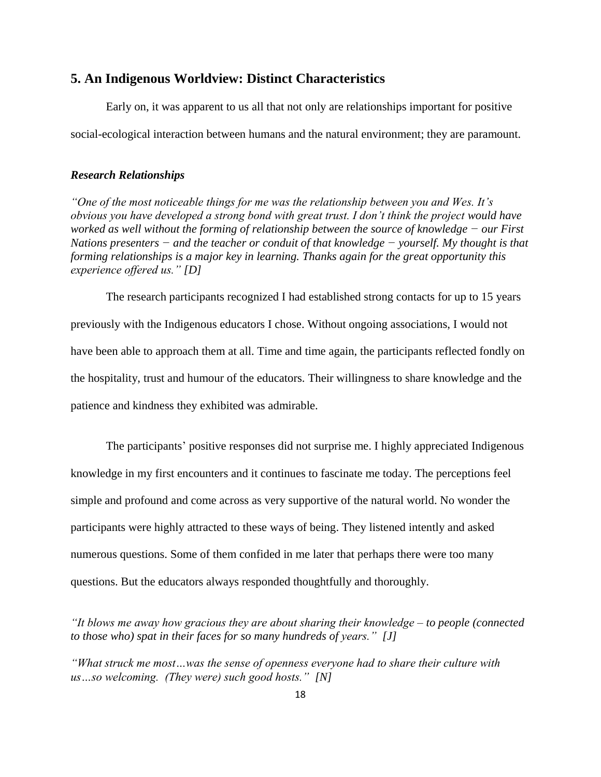#### <span id="page-27-0"></span>**5. An Indigenous Worldview: Distinct Characteristics**

Early on, it was apparent to us all that not only are relationships important for positive social-ecological interaction between humans and the natural environment; they are paramount.

#### <span id="page-27-1"></span>*Research Relationships*

*"One of the most noticeable things for me was the relationship between you and Wes. It's obvious you have developed a strong bond with great trust. I don't think the project would have worked as well without the forming of relationship between the source of knowledge − our First Nations presenters − and the teacher or conduit of that knowledge − yourself. My thought is that forming relationships is a major key in learning. Thanks again for the great opportunity this experience offered us." [D]*

The research participants recognized I had established strong contacts for up to 15 years previously with the Indigenous educators I chose. Without ongoing associations, I would not have been able to approach them at all. Time and time again, the participants reflected fondly on the hospitality, trust and humour of the educators. Their willingness to share knowledge and the patience and kindness they exhibited was admirable.

The participants' positive responses did not surprise me. I highly appreciated Indigenous knowledge in my first encounters and it continues to fascinate me today. The perceptions feel simple and profound and come across as very supportive of the natural world. No wonder the participants were highly attracted to these ways of being. They listened intently and asked numerous questions. Some of them confided in me later that perhaps there were too many questions. But the educators always responded thoughtfully and thoroughly.

*"It blows me away how gracious they are about sharing their knowledge – to people (connected to those who) spat in their faces for so many hundreds of years." [J]*

*"What struck me most…was the sense of openness everyone had to share their culture with us…so welcoming. (They were) such good hosts." [N]*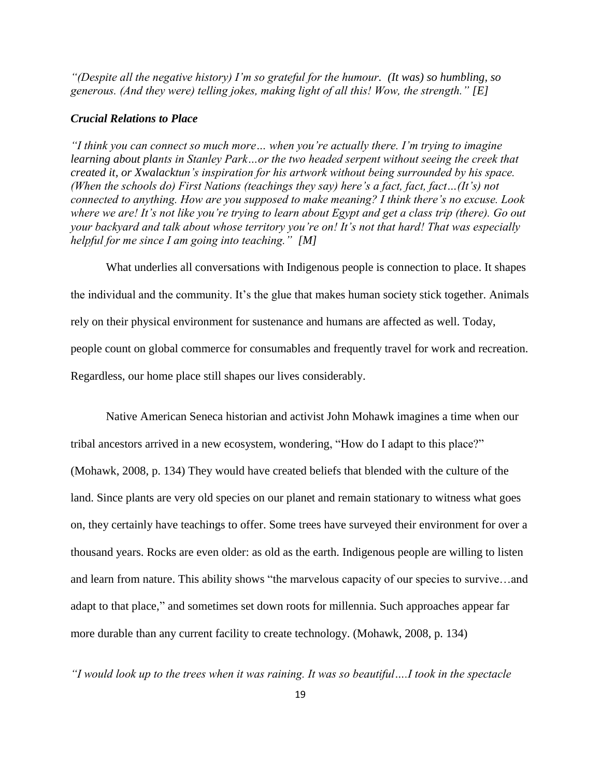*"(Despite all the negative history) I'm so grateful for the humour. (It was) so humbling, so generous. (And they were) telling jokes, making light of all this! Wow, the strength." [E]*

#### <span id="page-28-0"></span>*Crucial Relations to Place*

*"I think you can connect so much more… when you're actually there. I'm trying to imagine learning about plants in Stanley Park…or the two headed serpent without seeing the creek that created it, or Xwalacktun's inspiration for his artwork without being surrounded by his space. (When the schools do) First Nations (teachings they say) here's a fact, fact, fact…(It's) not connected to anything. How are you supposed to make meaning? I think there's no excuse. Look where we are! It's not like you're trying to learn about Egypt and get a class trip (there). Go out your backyard and talk about whose territory you're on! It's not that hard! That was especially helpful for me since I am going into teaching." [M]*

What underlies all conversations with Indigenous people is connection to place. It shapes the individual and the community. It's the glue that makes human society stick together. Animals rely on their physical environment for sustenance and humans are affected as well. Today, people count on global commerce for consumables and frequently travel for work and recreation. Regardless, our home place still shapes our lives considerably.

Native American Seneca historian and activist John Mohawk imagines a time when our tribal ancestors arrived in a new ecosystem, wondering, "How do I adapt to this place?" (Mohawk, 2008, p. 134) They would have created beliefs that blended with the culture of the land. Since plants are very old species on our planet and remain stationary to witness what goes on, they certainly have teachings to offer. Some trees have surveyed their environment for over a thousand years. Rocks are even older: as old as the earth. Indigenous people are willing to listen and learn from nature. This ability shows "the marvelous capacity of our species to survive…and adapt to that place," and sometimes set down roots for millennia. Such approaches appear far more durable than any current facility to create technology. (Mohawk, 2008, p. 134)

*"I would look up to the trees when it was raining. It was so beautiful….I took in the spectacle*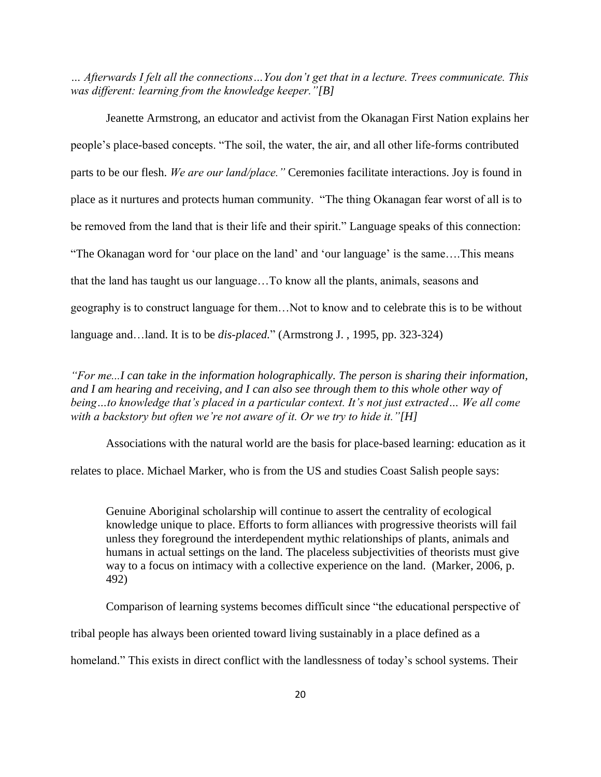*… Afterwards I felt all the connections…You don't get that in a lecture. Trees communicate. This was different: learning from the knowledge keeper."[B]*

Jeanette Armstrong, an educator and activist from the Okanagan First Nation explains her people's place-based concepts. "The soil, the water, the air, and all other life-forms contributed parts to be our flesh. *We are our land/place."* Ceremonies facilitate interactions. Joy is found in place as it nurtures and protects human community. "The thing Okanagan fear worst of all is to be removed from the land that is their life and their spirit." Language speaks of this connection: "The Okanagan word for 'our place on the land' and 'our language' is the same….This means that the land has taught us our language…To know all the plants, animals, seasons and geography is to construct language for them…Not to know and to celebrate this is to be without language and…land. It is to be *dis-placed.*" (Armstrong J. , 1995, pp. 323-324)

*"For me...I can take in the information holographically. The person is sharing their information, and I am hearing and receiving, and I can also see through them to this whole other way of being…to knowledge that's placed in a particular context. It's not just extracted… We all come with a backstory but often we're not aware of it. Or we try to hide it."[H]*

Associations with the natural world are the basis for place-based learning: education as it

relates to place. Michael Marker, who is from the US and studies Coast Salish people says:

Genuine Aboriginal scholarship will continue to assert the centrality of ecological knowledge unique to place. Efforts to form alliances with progressive theorists will fail unless they foreground the interdependent mythic relationships of plants, animals and humans in actual settings on the land. The placeless subjectivities of theorists must give way to a focus on intimacy with a collective experience on the land. (Marker, 2006, p. 492)

Comparison of learning systems becomes difficult since "the educational perspective of

tribal people has always been oriented toward living sustainably in a place defined as a

homeland." This exists in direct conflict with the landlessness of today's school systems. Their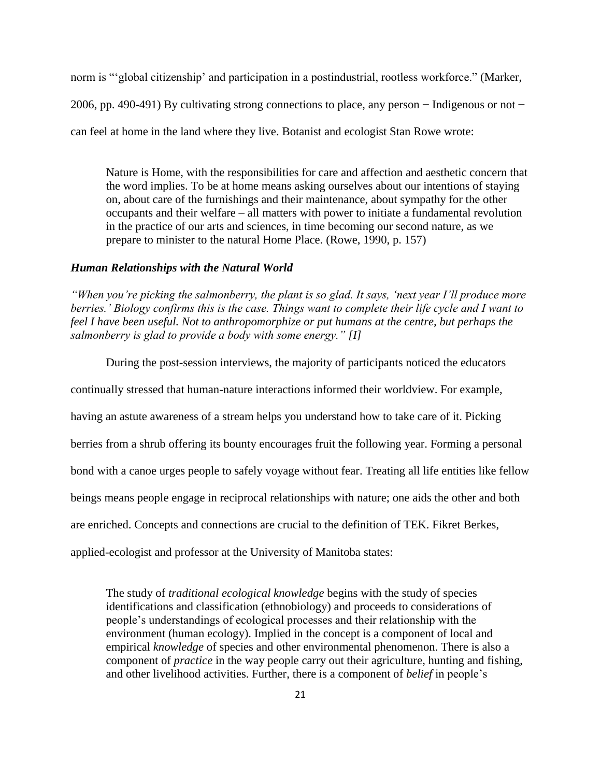norm is "'global citizenship' and participation in a postindustrial, rootless workforce." (Marker, 2006, pp. 490-491) By cultivating strong connections to place, any person − Indigenous or not − can feel at home in the land where they live. Botanist and ecologist Stan Rowe wrote:

Nature is Home, with the responsibilities for care and affection and aesthetic concern that the word implies. To be at home means asking ourselves about our intentions of staying on, about care of the furnishings and their maintenance, about sympathy for the other occupants and their welfare – all matters with power to initiate a fundamental revolution in the practice of our arts and sciences, in time becoming our second nature, as we prepare to minister to the natural Home Place. (Rowe, 1990, p. 157)

#### <span id="page-30-0"></span>*Human Relationships with the Natural World*

*"When you're picking the salmonberry, the plant is so glad. It says, 'next year I'll produce more berries.' Biology confirms this is the case. Things want to complete their life cycle and I want to feel I have been useful. Not to anthropomorphize or put humans at the centre, but perhaps the salmonberry is glad to provide a body with some energy." [I]*

During the post-session interviews, the majority of participants noticed the educators

continually stressed that human-nature interactions informed their worldview. For example,

having an astute awareness of a stream helps you understand how to take care of it. Picking

berries from a shrub offering its bounty encourages fruit the following year. Forming a personal

bond with a canoe urges people to safely voyage without fear. Treating all life entities like fellow

beings means people engage in reciprocal relationships with nature; one aids the other and both

are enriched. Concepts and connections are crucial to the definition of TEK. Fikret Berkes,

applied-ecologist and professor at the University of Manitoba states:

The study of *traditional ecological knowledge* begins with the study of species identifications and classification (ethnobiology) and proceeds to considerations of people's understandings of ecological processes and their relationship with the environment (human ecology). Implied in the concept is a component of local and empirical *knowledge* of species and other environmental phenomenon. There is also a component of *practice* in the way people carry out their agriculture, hunting and fishing, and other livelihood activities. Further, there is a component of *belief* in people's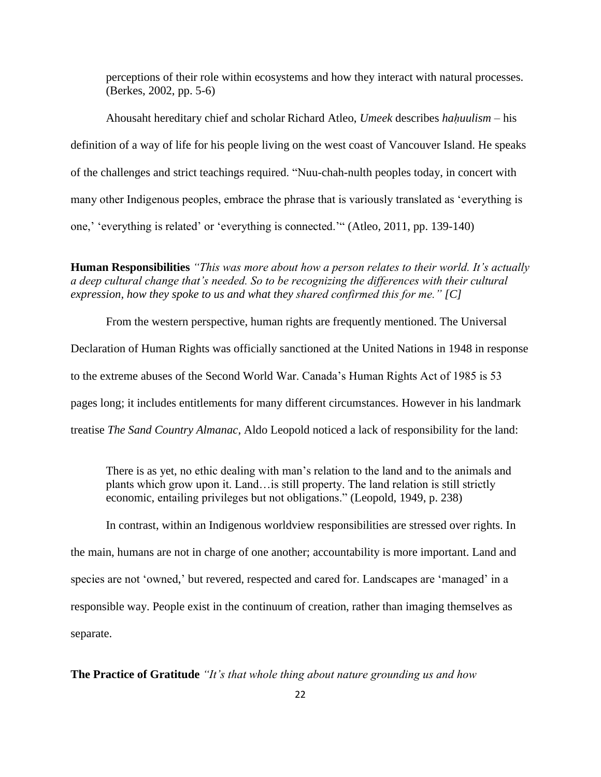perceptions of their role within ecosystems and how they interact with natural processes. (Berkes, 2002, pp. 5-6)

Ahousaht hereditary chief and scholar Richard Atleo, *Umeek* describes *haḥuulism* – his definition of a way of life for his people living on the west coast of Vancouver Island. He speaks of the challenges and strict teachings required. "Nuu-chah-nulth peoples today, in concert with many other Indigenous peoples, embrace the phrase that is variously translated as 'everything is one,' 'everything is related' or 'everything is connected.'" (Atleo, 2011, pp. 139-140)

**Human Responsibilities** *"This was more about how a person relates to their world. It's actually a deep cultural change that's needed. So to be recognizing the differences with their cultural expression, how they spoke to us and what they shared confirmed this for me." [C]*

From the western perspective, human rights are frequently mentioned. The Universal Declaration of Human Rights was officially sanctioned at the United Nations in 1948 in response to the extreme abuses of the Second World War. Canada's Human Rights Act of 1985 is 53 pages long; it includes entitlements for many different circumstances. However in his landmark treatise *The Sand Country Almanac*, Aldo Leopold noticed a lack of responsibility for the land:

There is as yet, no ethic dealing with man's relation to the land and to the animals and plants which grow upon it. Land…is still property. The land relation is still strictly economic, entailing privileges but not obligations." (Leopold, 1949, p. 238)

In contrast, within an Indigenous worldview responsibilities are stressed over rights. In the main, humans are not in charge of one another; accountability is more important. Land and species are not 'owned,' but revered, respected and cared for. Landscapes are 'managed' in a responsible way. People exist in the continuum of creation, rather than imaging themselves as separate.

**The Practice of Gratitude** *"It's that whole thing about nature grounding us and how*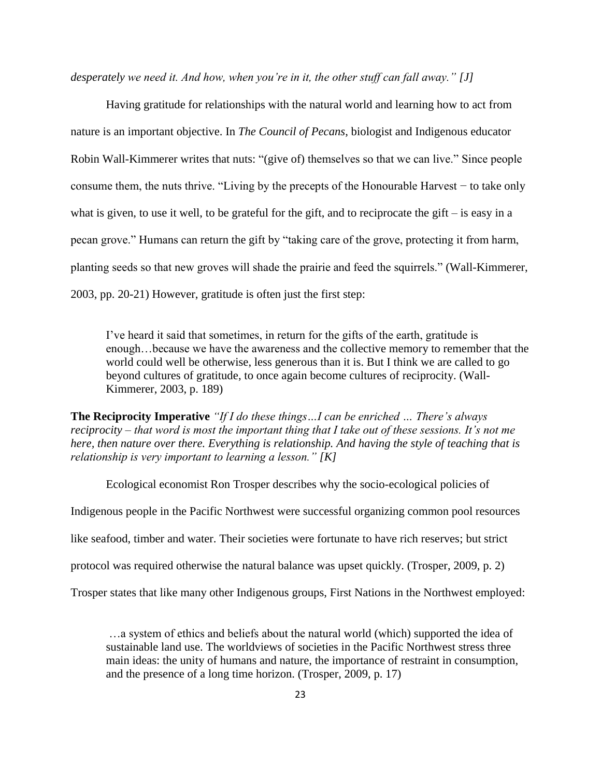*desperately we need it. And how, when you're in it, the other stuff can fall away." [J]*

Having gratitude for relationships with the natural world and learning how to act from nature is an important objective. In *The Council of Pecans*, biologist and Indigenous educator Robin Wall-Kimmerer writes that nuts: "(give of) themselves so that we can live." Since people consume them, the nuts thrive. "Living by the precepts of the Honourable Harvest − to take only what is given, to use it well, to be grateful for the gift, and to reciprocate the gift – is easy in a pecan grove." Humans can return the gift by "taking care of the grove, protecting it from harm, planting seeds so that new groves will shade the prairie and feed the squirrels." (Wall-Kimmerer, 2003, pp. 20-21) However, gratitude is often just the first step:

I've heard it said that sometimes, in return for the gifts of the earth, gratitude is enough…because we have the awareness and the collective memory to remember that the world could well be otherwise, less generous than it is. But I think we are called to go beyond cultures of gratitude, to once again become cultures of reciprocity. (Wall-Kimmerer, 2003, p. 189)

**The Reciprocity Imperative** *"If I do these things…I can be enriched … There's always reciprocity – that word is most the important thing that I take out of these sessions. It's not me here, then nature over there. Everything is relationship. And having the style of teaching that is relationship is very important to learning a lesson." [K]*

Ecological economist Ron Trosper describes why the socio-ecological policies of Indigenous people in the Pacific Northwest were successful organizing common pool resources like seafood, timber and water. Their societies were fortunate to have rich reserves; but strict protocol was required otherwise the natural balance was upset quickly. (Trosper, 2009, p. 2) Trosper states that like many other Indigenous groups, First Nations in the Northwest employed:

…a system of ethics and beliefs about the natural world (which) supported the idea of sustainable land use. The worldviews of societies in the Pacific Northwest stress three main ideas: the unity of humans and nature, the importance of restraint in consumption, and the presence of a long time horizon. (Trosper, 2009, p. 17)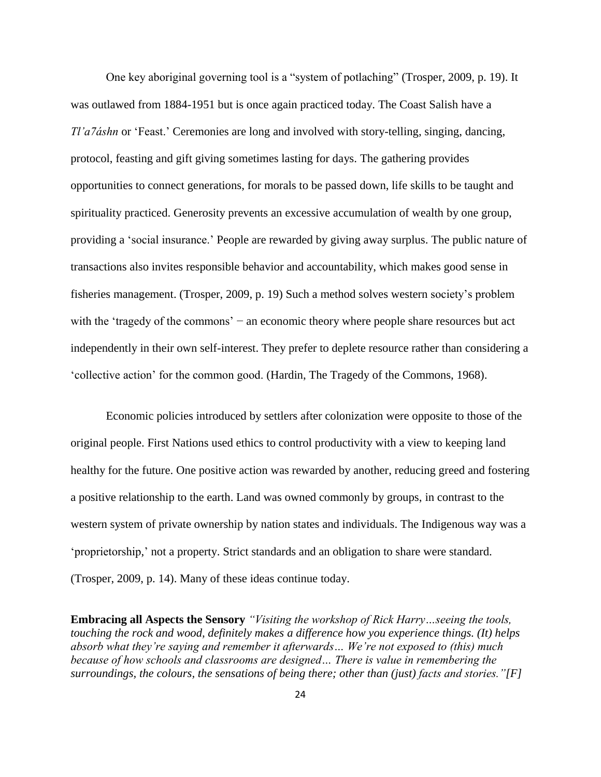One key aboriginal governing tool is a "system of potlaching" (Trosper, 2009, p. 19). It was outlawed from 1884-1951 but is once again practiced today. The Coast Salish have a *Tl'a7áshn* or 'Feast.' Ceremonies are long and involved with story-telling, singing, dancing, protocol, feasting and gift giving sometimes lasting for days. The gathering provides opportunities to connect generations, for morals to be passed down, life skills to be taught and spirituality practiced. Generosity prevents an excessive accumulation of wealth by one group, providing a 'social insurance.' People are rewarded by giving away surplus. The public nature of transactions also invites responsible behavior and accountability, which makes good sense in fisheries management. (Trosper, 2009, p. 19) Such a method solves western society's problem with the 'tragedy of the commons' − an economic theory where people share resources but act independently in their own self-interest. They prefer to deplete resource rather than considering a 'collective action' for the common good. (Hardin, The Tragedy of the Commons, 1968).

Economic policies introduced by settlers after colonization were opposite to those of the original people. First Nations used ethics to control productivity with a view to keeping land healthy for the future. One positive action was rewarded by another, reducing greed and fostering a positive relationship to the earth. Land was owned commonly by groups, in contrast to the western system of private ownership by nation states and individuals. The Indigenous way was a 'proprietorship,' not a property. Strict standards and an obligation to share were standard. (Trosper, 2009, p. 14). Many of these ideas continue today.

**Embracing all Aspects the Sensory** *"Visiting the workshop of Rick Harry…seeing the tools, touching the rock and wood, definitely makes a difference how you experience things. (It) helps absorb what they're saying and remember it afterwards… We're not exposed to (this) much because of how schools and classrooms are designed… There is value in remembering the surroundings, the colours, the sensations of being there; other than (just) facts and stories."[F]*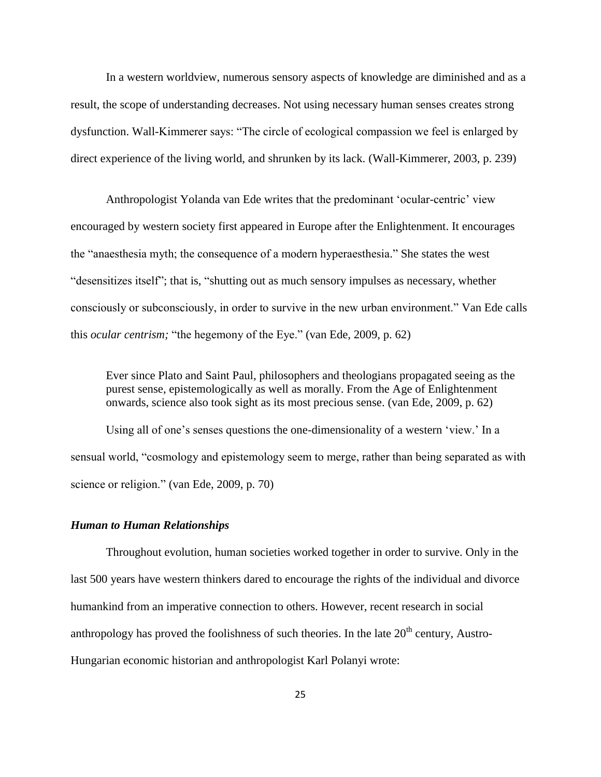In a western worldview, numerous sensory aspects of knowledge are diminished and as a result, the scope of understanding decreases. Not using necessary human senses creates strong dysfunction. Wall-Kimmerer says: "The circle of ecological compassion we feel is enlarged by direct experience of the living world, and shrunken by its lack. (Wall-Kimmerer, 2003, p. 239)

Anthropologist Yolanda van Ede writes that the predominant 'ocular-centric' view encouraged by western society first appeared in Europe after the Enlightenment. It encourages the "anaesthesia myth; the consequence of a modern hyperaesthesia." She states the west "desensitizes itself"; that is, "shutting out as much sensory impulses as necessary, whether consciously or subconsciously, in order to survive in the new urban environment." Van Ede calls this *ocular centrism;* "the hegemony of the Eye." (van Ede, 2009, p. 62)

Ever since Plato and Saint Paul, philosophers and theologians propagated seeing as the purest sense, epistemologically as well as morally. From the Age of Enlightenment onwards, science also took sight as its most precious sense. (van Ede, 2009, p. 62)

Using all of one's senses questions the one-dimensionality of a western 'view.' In a sensual world, "cosmology and epistemology seem to merge, rather than being separated as with science or religion." (van Ede, 2009, p. 70)

#### <span id="page-34-0"></span>*Human to Human Relationships*

Throughout evolution, human societies worked together in order to survive. Only in the last 500 years have western thinkers dared to encourage the rights of the individual and divorce humankind from an imperative connection to others. However, recent research in social anthropology has proved the foolishness of such theories. In the late  $20<sup>th</sup>$  century, Austro-Hungarian economic historian and anthropologist Karl Polanyi wrote: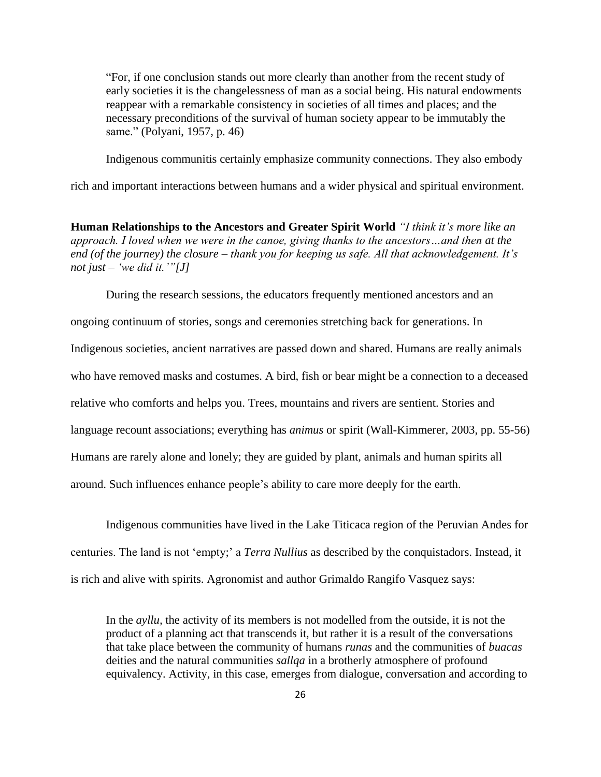"For, if one conclusion stands out more clearly than another from the recent study of early societies it is the changelessness of man as a social being. His natural endowments reappear with a remarkable consistency in societies of all times and places; and the necessary preconditions of the survival of human society appear to be immutably the same." (Polyani, 1957, p. 46)

Indigenous communitis certainly emphasize community connections. They also embody

rich and important interactions between humans and a wider physical and spiritual environment.

**Human Relationships to the Ancestors and Greater Spirit World** *"I think it's more like an approach. I loved when we were in the canoe, giving thanks to the ancestors…and then at the end (of the journey) the closure – thank you for keeping us safe. All that acknowledgement. It's not just – 'we did it.'"[J]*

During the research sessions, the educators frequently mentioned ancestors and an ongoing continuum of stories, songs and ceremonies stretching back for generations. In Indigenous societies, ancient narratives are passed down and shared. Humans are really animals who have removed masks and costumes. A bird, fish or bear might be a connection to a deceased relative who comforts and helps you. Trees, mountains and rivers are sentient. Stories and language recount associations; everything has *animus* or spirit (Wall-Kimmerer, 2003, pp. 55-56) Humans are rarely alone and lonely; they are guided by plant, animals and human spirits all around. Such influences enhance people's ability to care more deeply for the earth.

Indigenous communities have lived in the Lake Titicaca region of the Peruvian Andes for centuries. The land is not 'empty;' a *Terra Nullius* as described by the conquistadors. Instead, it is rich and alive with spirits. Agronomist and author Grimaldo Rangifo Vasquez says:

In the *ayllu,* the activity of its members is not modelled from the outside, it is not the product of a planning act that transcends it, but rather it is a result of the conversations that take place between the community of humans *runas* and the communities of *buacas* deities and the natural communities *sallqa* in a brotherly atmosphere of profound equivalency. Activity, in this case, emerges from dialogue, conversation and according to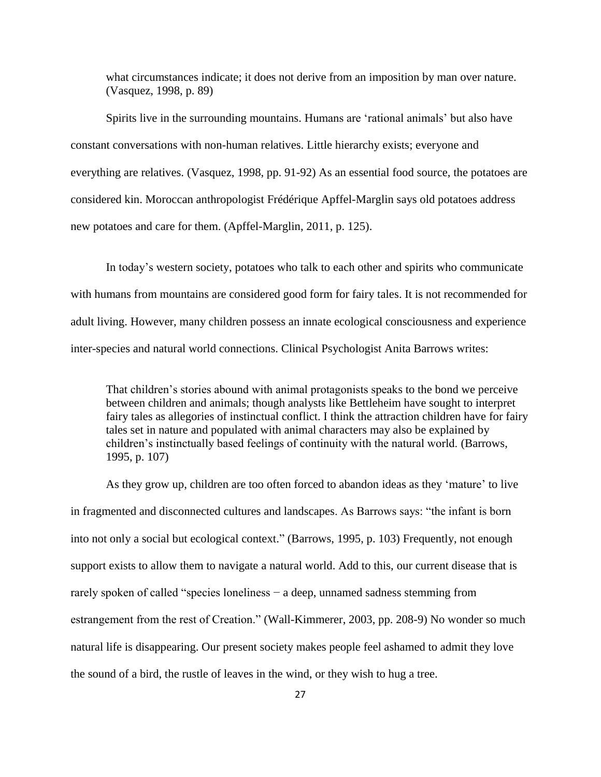what circumstances indicate; it does not derive from an imposition by man over nature. (Vasquez, 1998, p. 89)

Spirits live in the surrounding mountains. Humans are 'rational animals' but also have constant conversations with non-human relatives. Little hierarchy exists; everyone and everything are relatives. (Vasquez, 1998, pp. 91-92) As an essential food source, the potatoes are considered kin. Moroccan anthropologist Frédérique Apffel-Marglin says old potatoes address new potatoes and care for them. (Apffel-Marglin, 2011, p. 125).

In today's western society, potatoes who talk to each other and spirits who communicate with humans from mountains are considered good form for fairy tales. It is not recommended for adult living. However, many children possess an innate ecological consciousness and experience inter-species and natural world connections. Clinical Psychologist Anita Barrows writes:

That children's stories abound with animal protagonists speaks to the bond we perceive between children and animals; though analysts like Bettleheim have sought to interpret fairy tales as allegories of instinctual conflict. I think the attraction children have for fairy tales set in nature and populated with animal characters may also be explained by children's instinctually based feelings of continuity with the natural world. (Barrows, 1995, p. 107)

As they grow up, children are too often forced to abandon ideas as they 'mature' to live in fragmented and disconnected cultures and landscapes. As Barrows says: "the infant is born into not only a social but ecological context." (Barrows, 1995, p. 103) Frequently, not enough support exists to allow them to navigate a natural world. Add to this, our current disease that is rarely spoken of called "species loneliness − a deep, unnamed sadness stemming from estrangement from the rest of Creation." (Wall-Kimmerer, 2003, pp. 208-9) No wonder so much natural life is disappearing. Our present society makes people feel ashamed to admit they love the sound of a bird, the rustle of leaves in the wind, or they wish to hug a tree.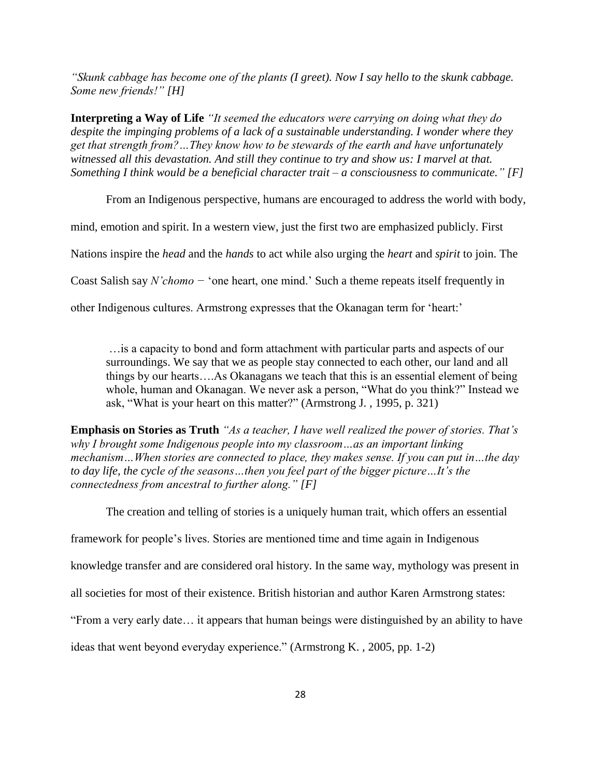*"Skunk cabbage has become one of the plants (I greet). Now I say hello to the skunk cabbage. Some new friends!" [H]*

**Interpreting a Way of Life** *"It seemed the educators were carrying on doing what they do despite the impinging problems of a lack of a sustainable understanding. I wonder where they get that strength from?…They know how to be stewards of the earth and have unfortunately witnessed all this devastation. And still they continue to try and show us: I marvel at that. Something I think would be a beneficial character trait – a consciousness to communicate." [F]*

From an Indigenous perspective, humans are encouraged to address the world with body,

mind, emotion and spirit. In a western view, just the first two are emphasized publicly. First

Nations inspire the *head* and the *hands* to act while also urging the *heart* and *spirit* to join. The

Coast Salish say *N'chomo −* 'one heart, one mind.' Such a theme repeats itself frequently in

other Indigenous cultures. Armstrong expresses that the Okanagan term for 'heart:'

…is a capacity to bond and form attachment with particular parts and aspects of our surroundings. We say that we as people stay connected to each other, our land and all things by our hearts….As Okanagans we teach that this is an essential element of being whole, human and Okanagan. We never ask a person, "What do you think?" Instead we ask, "What is your heart on this matter?" (Armstrong J. , 1995, p. 321)

**Emphasis on Stories as Truth** *"As a teacher, I have well realized the power of stories. That's why I brought some Indigenous people into my classroom…as an important linking mechanism…When stories are connected to place, they makes sense. If you can put in…the day to day life, the cycle of the seasons…then you feel part of the bigger picture…It's the connectedness from ancestral to further along." [F]*

The creation and telling of stories is a uniquely human trait, which offers an essential

framework for people's lives. Stories are mentioned time and time again in Indigenous

knowledge transfer and are considered oral history. In the same way, mythology was present in

all societies for most of their existence. British historian and author Karen Armstrong states:

"From a very early date… it appears that human beings were distinguished by an ability to have

ideas that went beyond everyday experience." (Armstrong K. , 2005, pp. 1-2)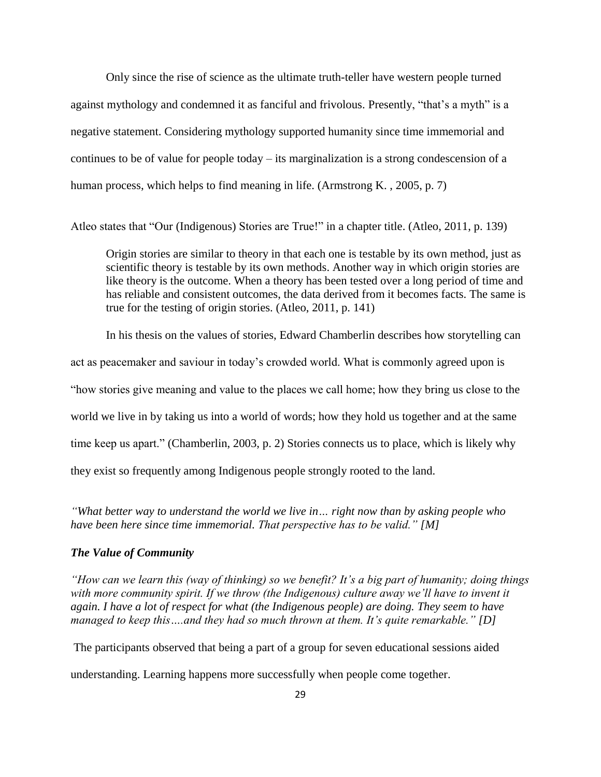Only since the rise of science as the ultimate truth-teller have western people turned against mythology and condemned it as fanciful and frivolous. Presently, "that's a myth" is a negative statement. Considering mythology supported humanity since time immemorial and continues to be of value for people today – its marginalization is a strong condescension of a human process, which helps to find meaning in life. (Armstrong K., 2005, p. 7)

Atleo states that "Our (Indigenous) Stories are True!" in a chapter title. (Atleo, 2011, p. 139)

Origin stories are similar to theory in that each one is testable by its own method, just as scientific theory is testable by its own methods. Another way in which origin stories are like theory is the outcome. When a theory has been tested over a long period of time and has reliable and consistent outcomes, the data derived from it becomes facts. The same is true for the testing of origin stories. (Atleo, 2011, p. 141)

In his thesis on the values of stories, Edward Chamberlin describes how storytelling can act as peacemaker and saviour in today's crowded world. What is commonly agreed upon is "how stories give meaning and value to the places we call home; how they bring us close to the world we live in by taking us into a world of words; how they hold us together and at the same time keep us apart." (Chamberlin, 2003, p. 2) Stories connects us to place, which is likely why they exist so frequently among Indigenous people strongly rooted to the land.

*"What better way to understand the world we live in… right now than by asking people who have been here since time immemorial. That perspective has to be valid." [M]*

#### <span id="page-38-0"></span>*The Value of Community*

*"How can we learn this (way of thinking) so we benefit? It's a big part of humanity; doing things with more community spirit. If we throw (the Indigenous) culture away we'll have to invent it again. I have a lot of respect for what (the Indigenous people) are doing. They seem to have managed to keep this….and they had so much thrown at them. It's quite remarkable." [D]*

The participants observed that being a part of a group for seven educational sessions aided

understanding. Learning happens more successfully when people come together.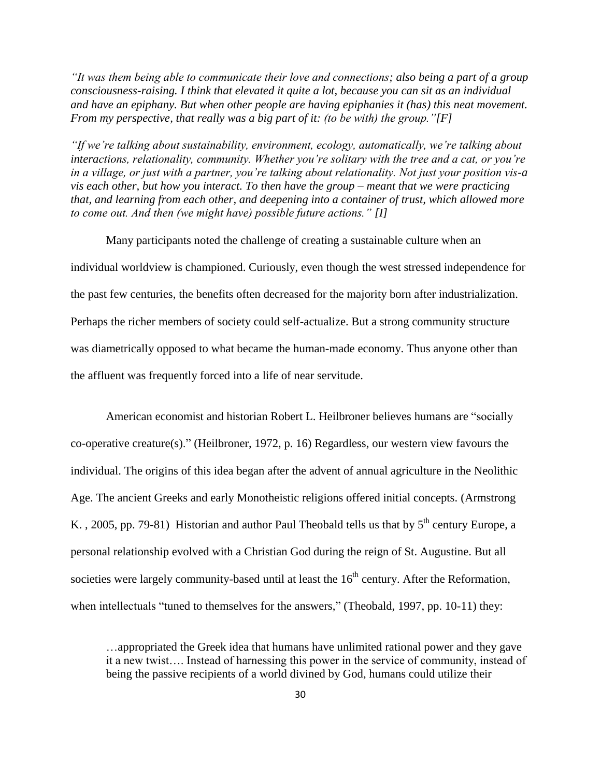*"It was them being able to communicate their love and connections; also being a part of a group consciousness-raising. I think that elevated it quite a lot, because you can sit as an individual and have an epiphany. But when other people are having epiphanies it (has) this neat movement. From my perspective, that really was a big part of it: (to be with) the group."[F]*

*"If we're talking about sustainability, environment, ecology, automatically, we're talking about interactions, relationality, community. Whether you're solitary with the tree and a cat, or you're in a village, or just with a partner, you're talking about relationality. Not just your position vis-a vis each other, but how you interact. To then have the group – meant that we were practicing that, and learning from each other, and deepening into a container of trust, which allowed more to come out. And then (we might have) possible future actions." [I]*

Many participants noted the challenge of creating a sustainable culture when an individual worldview is championed. Curiously, even though the west stressed independence for the past few centuries, the benefits often decreased for the majority born after industrialization. Perhaps the richer members of society could self-actualize. But a strong community structure was diametrically opposed to what became the human-made economy. Thus anyone other than the affluent was frequently forced into a life of near servitude.

American economist and historian Robert L. Heilbroner believes humans are "socially co-operative creature(s)." (Heilbroner, 1972, p. 16) Regardless, our western view favours the individual. The origins of this idea began after the advent of annual agriculture in the Neolithic Age. The ancient Greeks and early Monotheistic religions offered initial concepts. (Armstrong K., 2005, pp. 79-81) Historian and author Paul Theobald tells us that by  $5<sup>th</sup>$  century Europe, a personal relationship evolved with a Christian God during the reign of St. Augustine. But all societies were largely community-based until at least the  $16<sup>th</sup>$  century. After the Reformation, when intellectuals "tuned to themselves for the answers," (Theobald, 1997, pp. 10-11) they:

…appropriated the Greek idea that humans have unlimited rational power and they gave it a new twist…. Instead of harnessing this power in the service of community, instead of being the passive recipients of a world divined by God, humans could utilize their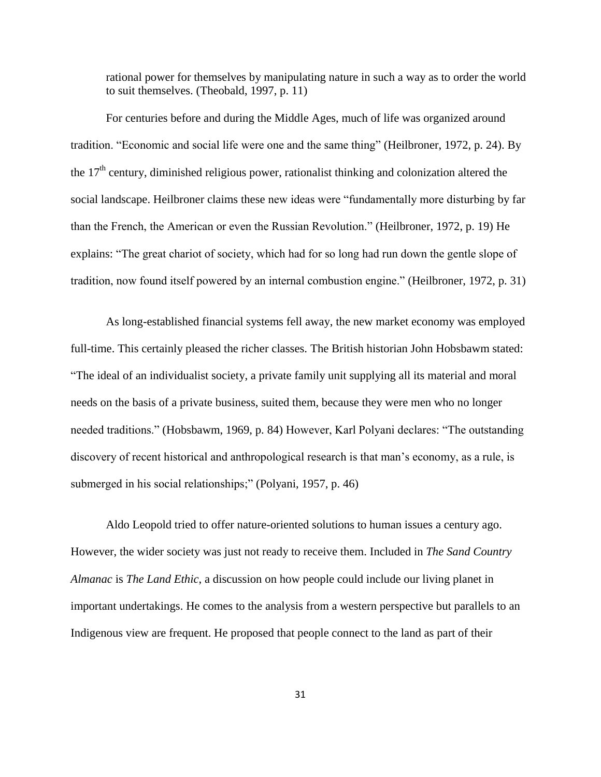rational power for themselves by manipulating nature in such a way as to order the world to suit themselves. (Theobald, 1997, p. 11)

For centuries before and during the Middle Ages, much of life was organized around tradition. "Economic and social life were one and the same thing" (Heilbroner, 1972, p. 24). By the  $17<sup>th</sup>$  century, diminished religious power, rationalist thinking and colonization altered the social landscape. Heilbroner claims these new ideas were "fundamentally more disturbing by far than the French, the American or even the Russian Revolution." (Heilbroner, 1972, p. 19) He explains: "The great chariot of society, which had for so long had run down the gentle slope of tradition, now found itself powered by an internal combustion engine." (Heilbroner, 1972, p. 31)

As long-established financial systems fell away, the new market economy was employed full-time. This certainly pleased the richer classes. The British historian John Hobsbawm stated: "The ideal of an individualist society, a private family unit supplying all its material and moral needs on the basis of a private business, suited them, because they were men who no longer needed traditions." (Hobsbawm, 1969, p. 84) However, Karl Polyani declares: "The outstanding discovery of recent historical and anthropological research is that man's economy, as a rule, is submerged in his social relationships;" (Polyani, 1957, p. 46)

Aldo Leopold tried to offer nature-oriented solutions to human issues a century ago. However, the wider society was just not ready to receive them. Included in *The Sand Country Almanac* is *The Land Ethic*, a discussion on how people could include our living planet in important undertakings. He comes to the analysis from a western perspective but parallels to an Indigenous view are frequent. He proposed that people connect to the land as part of their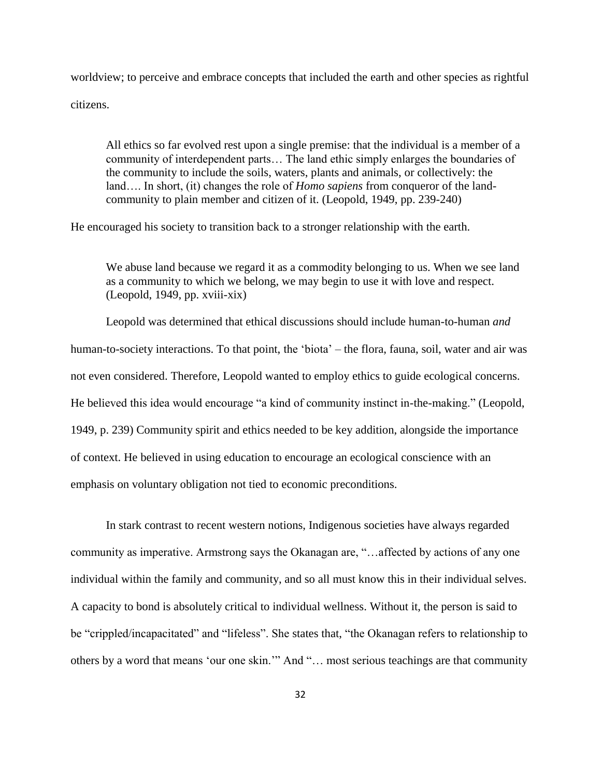worldview; to perceive and embrace concepts that included the earth and other species as rightful citizens.

All ethics so far evolved rest upon a single premise: that the individual is a member of a community of interdependent parts… The land ethic simply enlarges the boundaries of the community to include the soils, waters, plants and animals, or collectively: the land…. In short, (it) changes the role of *Homo sapiens* from conqueror of the landcommunity to plain member and citizen of it. (Leopold, 1949, pp. 239-240)

He encouraged his society to transition back to a stronger relationship with the earth.

We abuse land because we regard it as a commodity belonging to us. When we see land as a community to which we belong, we may begin to use it with love and respect. (Leopold, 1949, pp. xviii-xix)

Leopold was determined that ethical discussions should include human-to-human *and* human-to-society interactions. To that point, the 'biota' – the flora, fauna, soil, water and air was not even considered. Therefore, Leopold wanted to employ ethics to guide ecological concerns. He believed this idea would encourage "a kind of community instinct in-the-making." (Leopold, 1949, p. 239) Community spirit and ethics needed to be key addition, alongside the importance of context. He believed in using education to encourage an ecological conscience with an emphasis on voluntary obligation not tied to economic preconditions.

In stark contrast to recent western notions, Indigenous societies have always regarded community as imperative. Armstrong says the Okanagan are, "…affected by actions of any one individual within the family and community, and so all must know this in their individual selves. A capacity to bond is absolutely critical to individual wellness. Without it, the person is said to be "crippled/incapacitated" and "lifeless". She states that, "the Okanagan refers to relationship to others by a word that means 'our one skin.'" And "… most serious teachings are that community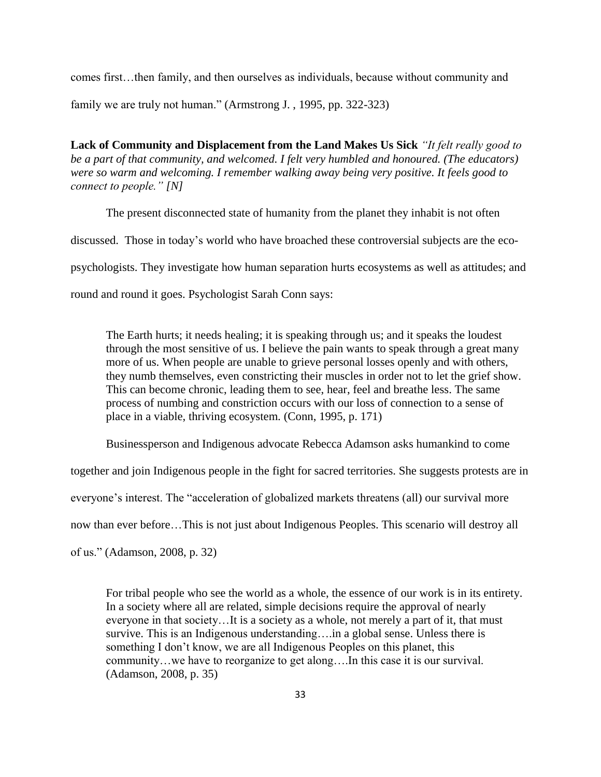comes first…then family, and then ourselves as individuals, because without community and family we are truly not human." (Armstrong J. , 1995, pp. 322-323)

**Lack of Community and Displacement from the Land Makes Us Sick** *"It felt really good to be a part of that community, and welcomed. I felt very humbled and honoured. (The educators) were so warm and welcoming. I remember walking away being very positive. It feels good to connect to people." [N]*

The present disconnected state of humanity from the planet they inhabit is not often discussed. Those in today's world who have broached these controversial subjects are the ecopsychologists. They investigate how human separation hurts ecosystems as well as attitudes; and round and round it goes. Psychologist Sarah Conn says:

The Earth hurts; it needs healing; it is speaking through us; and it speaks the loudest through the most sensitive of us. I believe the pain wants to speak through a great many more of us. When people are unable to grieve personal losses openly and with others, they numb themselves, even constricting their muscles in order not to let the grief show. This can become chronic, leading them to see, hear, feel and breathe less. The same process of numbing and constriction occurs with our loss of connection to a sense of place in a viable, thriving ecosystem. (Conn, 1995, p. 171)

Businessperson and Indigenous advocate Rebecca Adamson asks humankind to come

together and join Indigenous people in the fight for sacred territories. She suggests protests are in

everyone's interest. The "acceleration of globalized markets threatens (all) our survival more

now than ever before…This is not just about Indigenous Peoples. This scenario will destroy all

of us." (Adamson, 2008, p. 32)

For tribal people who see the world as a whole, the essence of our work is in its entirety. In a society where all are related, simple decisions require the approval of nearly everyone in that society…It is a society as a whole, not merely a part of it, that must survive. This is an Indigenous understanding….in a global sense. Unless there is something I don't know, we are all Indigenous Peoples on this planet, this community…we have to reorganize to get along….In this case it is our survival. (Adamson, 2008, p. 35)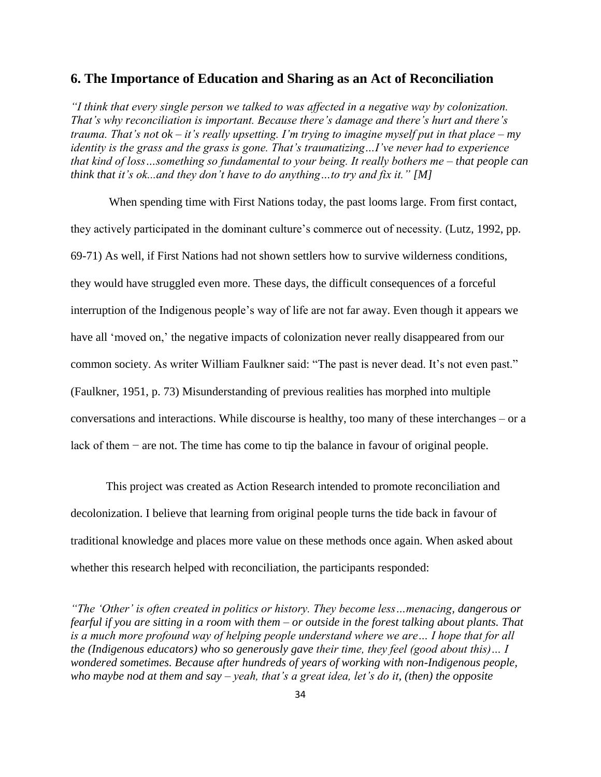#### <span id="page-43-0"></span>**6. The Importance of Education and Sharing as an Act of Reconciliation**

*"I think that every single person we talked to was affected in a negative way by colonization. That's why reconciliation is important. Because there's damage and there's hurt and there's trauma. That's not ok – it's really upsetting. I'm trying to imagine myself put in that place – my identity is the grass and the grass is gone. That's traumatizing…I've never had to experience that kind of loss…something so fundamental to your being. It really bothers me – that people can think that it's ok...and they don't have to do anything…to try and fix it." [M]*

When spending time with First Nations today, the past looms large. From first contact, they actively participated in the dominant culture's commerce out of necessity. (Lutz, 1992, pp. 69-71) As well, if First Nations had not shown settlers how to survive wilderness conditions, they would have struggled even more. These days, the difficult consequences of a forceful interruption of the Indigenous people's way of life are not far away. Even though it appears we have all 'moved on,' the negative impacts of colonization never really disappeared from our common society. As writer William Faulkner said: "The past is never dead. It's not even past." (Faulkner, 1951, p. 73) Misunderstanding of previous realities has morphed into multiple conversations and interactions. While discourse is healthy, too many of these interchanges – or a lack of them − are not. The time has come to tip the balance in favour of original people.

This project was created as Action Research intended to promote reconciliation and decolonization. I believe that learning from original people turns the tide back in favour of traditional knowledge and places more value on these methods once again. When asked about whether this research helped with reconciliation, the participants responded:

*"The 'Other' is often created in politics or history. They become less…menacing, dangerous or fearful if you are sitting in a room with them – or outside in the forest talking about plants. That is a much more profound way of helping people understand where we are… I hope that for all the (Indigenous educators) who so generously gave their time, they feel (good about this)… I wondered sometimes. Because after hundreds of years of working with non-Indigenous people, who maybe nod at them and say – yeah, that's a great idea, let's do it, (then) the opposite*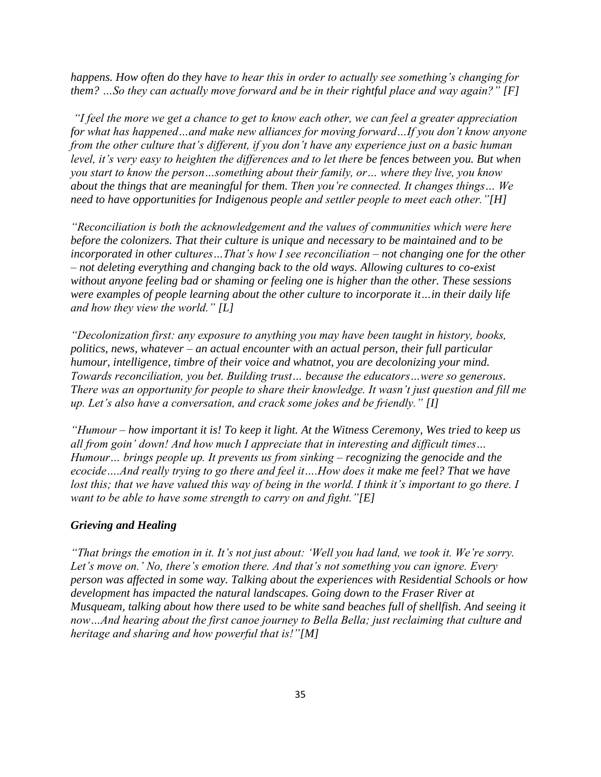*happens. How often do they have to hear this in order to actually see something's changing for them? …So they can actually move forward and be in their rightful place and way again?" [F]*

*"I feel the more we get a chance to get to know each other, we can feel a greater appreciation for what has happened…and make new alliances for moving forward…If you don't know anyone from the other culture that's different, if you don't have any experience just on a basic human level, it's very easy to heighten the differences and to let there be fences between you. But when you start to know the person…something about their family, or… where they live, you know about the things that are meaningful for them. Then you're connected. It changes things… We need to have opportunities for Indigenous people and settler people to meet each other."[H]*

*"Reconciliation is both the acknowledgement and the values of communities which were here before the colonizers. That their culture is unique and necessary to be maintained and to be incorporated in other cultures…That's how I see reconciliation – not changing one for the other – not deleting everything and changing back to the old ways. Allowing cultures to co-exist without anyone feeling bad or shaming or feeling one is higher than the other. These sessions were examples of people learning about the other culture to incorporate it…in their daily life and how they view the world." [L]* 

*"Decolonization first: any exposure to anything you may have been taught in history, books, politics, news, whatever – an actual encounter with an actual person, their full particular humour, intelligence, timbre of their voice and whatnot, you are decolonizing your mind. Towards reconciliation, you bet. Building trust… because the educators…were so generous. There was an opportunity for people to share their knowledge. It wasn't just question and fill me up. Let's also have a conversation, and crack some jokes and be friendly." [I]*

*"Humour – how important it is! To keep it light. At the Witness Ceremony, Wes tried to keep us all from goin' down! And how much I appreciate that in interesting and difficult times… Humour… brings people up. It prevents us from sinking – recognizing the genocide and the ecocide….And really trying to go there and feel it….How does it make me feel? That we have lost this; that we have valued this way of being in the world. I think it's important to go there. I want to be able to have some strength to carry on and fight."[E]*

#### <span id="page-44-0"></span>*Grieving and Healing*

*"That brings the emotion in it. It's not just about: 'Well you had land, we took it. We're sorry. Let's move on.' No, there's emotion there. And that's not something you can ignore. Every person was affected in some way. Talking about the experiences with Residential Schools or how development has impacted the natural landscapes. Going down to the Fraser River at Musqueam, talking about how there used to be white sand beaches full of shellfish. And seeing it now…And hearing about the first canoe journey to Bella Bella; just reclaiming that culture and heritage and sharing and how powerful that is!"[M]*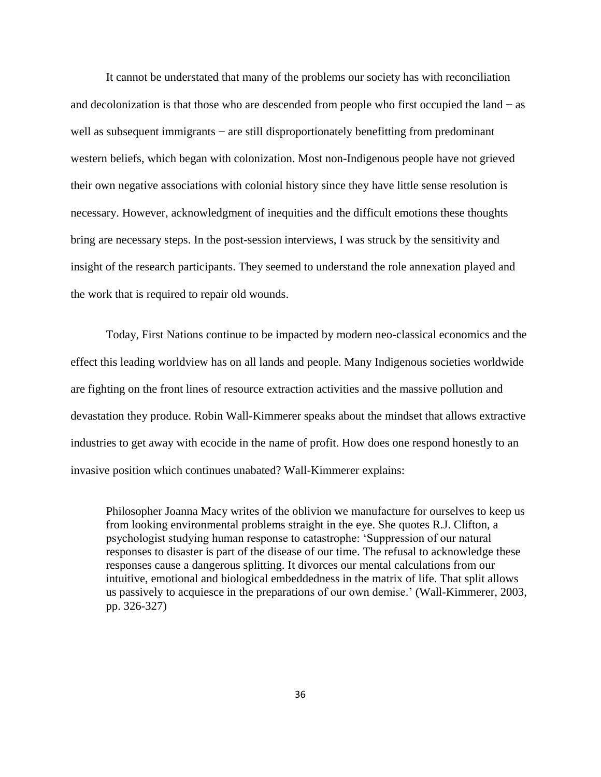It cannot be understated that many of the problems our society has with reconciliation and decolonization is that those who are descended from people who first occupied the land − as well as subsequent immigrants – are still disproportionately benefitting from predominant western beliefs, which began with colonization. Most non-Indigenous people have not grieved their own negative associations with colonial history since they have little sense resolution is necessary. However, acknowledgment of inequities and the difficult emotions these thoughts bring are necessary steps. In the post-session interviews, I was struck by the sensitivity and insight of the research participants. They seemed to understand the role annexation played and the work that is required to repair old wounds.

Today, First Nations continue to be impacted by modern neo-classical economics and the effect this leading worldview has on all lands and people. Many Indigenous societies worldwide are fighting on the front lines of resource extraction activities and the massive pollution and devastation they produce. Robin Wall-Kimmerer speaks about the mindset that allows extractive industries to get away with ecocide in the name of profit. How does one respond honestly to an invasive position which continues unabated? Wall-Kimmerer explains:

Philosopher Joanna Macy writes of the oblivion we manufacture for ourselves to keep us from looking environmental problems straight in the eye. She quotes R.J. Clifton, a psychologist studying human response to catastrophe: 'Suppression of our natural responses to disaster is part of the disease of our time. The refusal to acknowledge these responses cause a dangerous splitting. It divorces our mental calculations from our intuitive, emotional and biological embeddedness in the matrix of life. That split allows us passively to acquiesce in the preparations of our own demise.' (Wall-Kimmerer, 2003, pp. 326-327)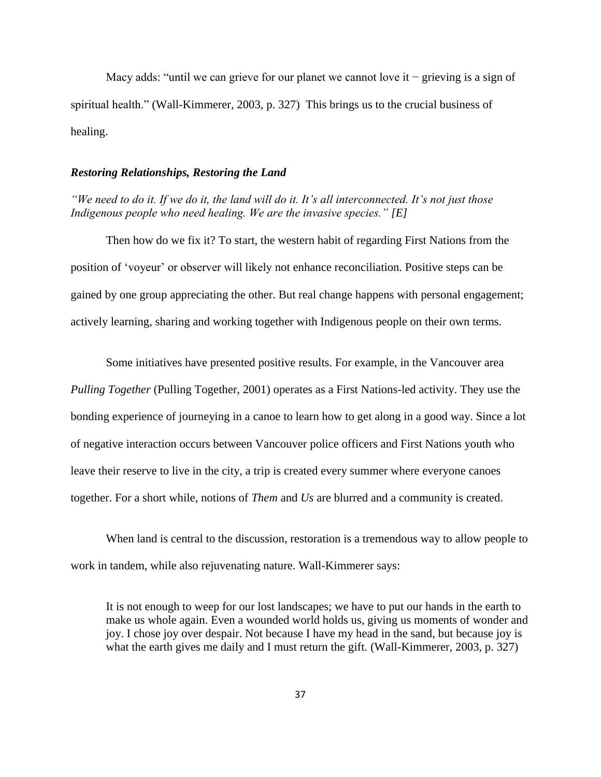Macy adds: "until we can grieve for our planet we cannot love it − grieving is a sign of spiritual health." (Wall-Kimmerer, 2003, p. 327) This brings us to the crucial business of healing.

#### <span id="page-46-0"></span>*Restoring Relationships, Restoring the Land*

*"We need to do it. If we do it, the land will do it. It's all interconnected. It's not just those Indigenous people who need healing. We are the invasive species." [E]*

Then how do we fix it? To start, the western habit of regarding First Nations from the position of 'voyeur' or observer will likely not enhance reconciliation. Positive steps can be gained by one group appreciating the other. But real change happens with personal engagement; actively learning, sharing and working together with Indigenous people on their own terms.

Some initiatives have presented positive results. For example, in the Vancouver area *Pulling Together* (Pulling Together, 2001) operates as a First Nations-led activity. They use the bonding experience of journeying in a canoe to learn how to get along in a good way. Since a lot of negative interaction occurs between Vancouver police officers and First Nations youth who leave their reserve to live in the city, a trip is created every summer where everyone canoes together. For a short while, notions of *Them* and *Us* are blurred and a community is created.

When land is central to the discussion, restoration is a tremendous way to allow people to work in tandem, while also rejuvenating nature. Wall-Kimmerer says:

It is not enough to weep for our lost landscapes; we have to put our hands in the earth to make us whole again. Even a wounded world holds us, giving us moments of wonder and joy. I chose joy over despair. Not because I have my head in the sand, but because joy is what the earth gives me daily and I must return the gift. (Wall-Kimmerer, 2003, p. 327)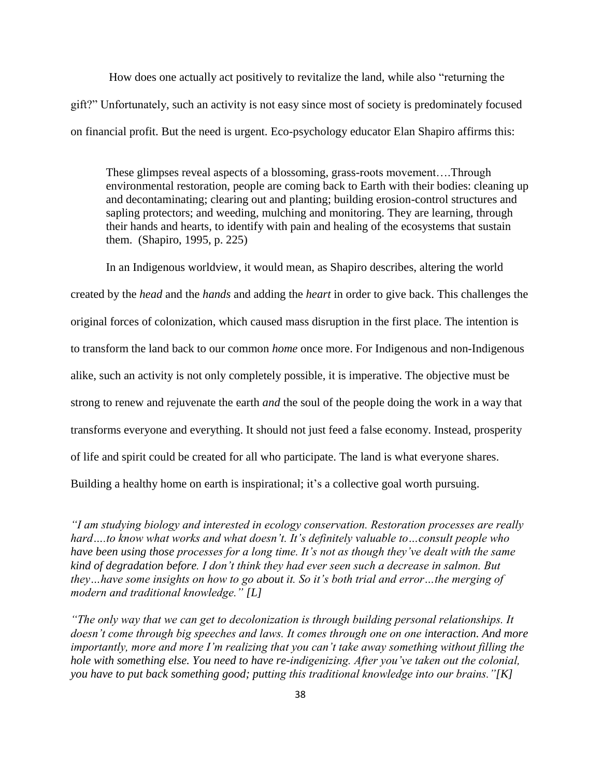How does one actually act positively to revitalize the land, while also "returning the gift?" Unfortunately, such an activity is not easy since most of society is predominately focused on financial profit. But the need is urgent. Eco-psychology educator Elan Shapiro affirms this:

These glimpses reveal aspects of a blossoming, grass-roots movement….Through environmental restoration, people are coming back to Earth with their bodies: cleaning up and decontaminating; clearing out and planting; building erosion-control structures and sapling protectors; and weeding, mulching and monitoring. They are learning, through their hands and hearts, to identify with pain and healing of the ecosystems that sustain them. (Shapiro, 1995, p. 225)

In an Indigenous worldview, it would mean, as Shapiro describes, altering the world created by the *head* and the *hands* and adding the *heart* in order to give back. This challenges the original forces of colonization, which caused mass disruption in the first place. The intention is to transform the land back to our common *home* once more. For Indigenous and non-Indigenous alike, such an activity is not only completely possible, it is imperative. The objective must be strong to renew and rejuvenate the earth *and* the soul of the people doing the work in a way that transforms everyone and everything. It should not just feed a false economy. Instead, prosperity of life and spirit could be created for all who participate. The land is what everyone shares. Building a healthy home on earth is inspirational; it's a collective goal worth pursuing.

*"I am studying biology and interested in ecology conservation. Restoration processes are really hard….to know what works and what doesn't. It's definitely valuable to…consult people who have been using those processes for a long time. It's not as though they've dealt with the same kind of degradation before. I don't think they had ever seen such a decrease in salmon. But they…have some insights on how to go about it. So it's both trial and error…the merging of modern and traditional knowledge." [L]* 

*"The only way that we can get to decolonization is through building personal relationships. It doesn't come through big speeches and laws. It comes through one on one interaction. And more importantly, more and more I'm realizing that you can't take away something without filling the hole with something else. You need to have re-indigenizing. After you've taken out the colonial, you have to put back something good; putting this traditional knowledge into our brains."[K]*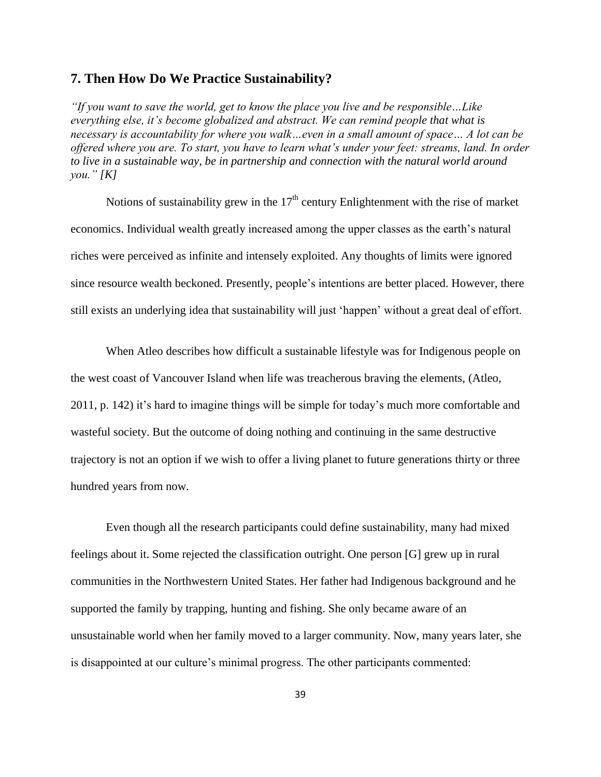#### <span id="page-48-0"></span>**7. Then How Do We Practice Sustainability?**

*"If you want to save the world, get to know the place you live and be responsible…Like everything else, it's become globalized and abstract. We can remind people that what is necessary is accountability for where you walk…even in a small amount of space… A lot can be offered where you are. To start, you have to learn what's under your feet: streams, land. In order to live in a sustainable way, be in partnership and connection with the natural world around you." [K]*

Notions of sustainability grew in the  $17<sup>th</sup>$  century Enlightenment with the rise of market economics. Individual wealth greatly increased among the upper classes as the earth's natural riches were perceived as infinite and intensely exploited. Any thoughts of limits were ignored since resource wealth beckoned. Presently, people's intentions are better placed. However, there still exists an underlying idea that sustainability will just 'happen' without a great deal of effort.

When Atleo describes how difficult a sustainable lifestyle was for Indigenous people on the west coast of Vancouver Island when life was treacherous braving the elements, (Atleo, 2011, p. 142) it's hard to imagine things will be simple for today's much more comfortable and wasteful society. But the outcome of doing nothing and continuing in the same destructive trajectory is not an option if we wish to offer a living planet to future generations thirty or three hundred years from now.

Even though all the research participants could define sustainability, many had mixed feelings about it. Some rejected the classification outright. One person [G] grew up in rural communities in the Northwestern United States. Her father had Indigenous background and he supported the family by trapping, hunting and fishing. She only became aware of an unsustainable world when her family moved to a larger community. Now, many years later, she is disappointed at our culture's minimal progress. The other participants commented: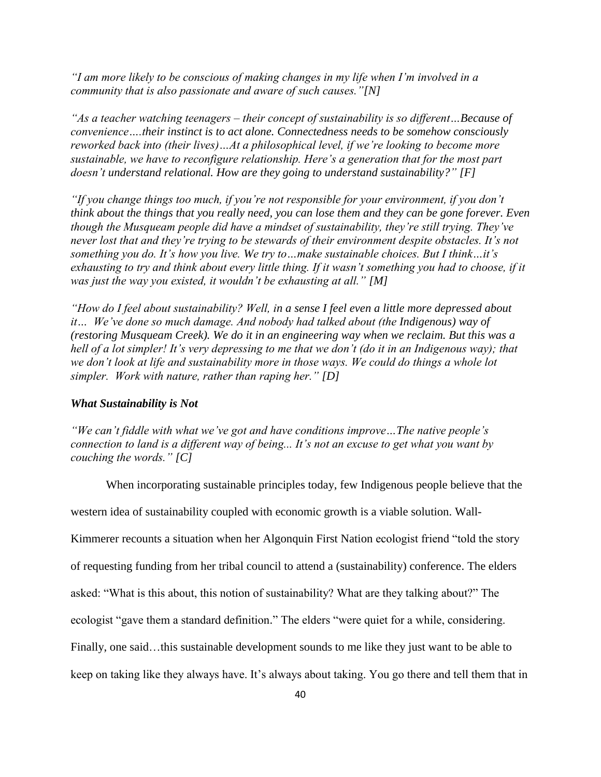*"I am more likely to be conscious of making changes in my life when I'm involved in a community that is also passionate and aware of such causes."[N]*

*"As a teacher watching teenagers – their concept of sustainability is so different…Because of convenience….their instinct is to act alone. Connectedness needs to be somehow consciously reworked back into (their lives)…At a philosophical level, if we're looking to become more sustainable, we have to reconfigure relationship. Here's a generation that for the most part doesn't understand relational. How are they going to understand sustainability?" [F]*

*"If you change things too much, if you're not responsible for your environment, if you don't think about the things that you really need, you can lose them and they can be gone forever. Even though the Musqueam people did have a mindset of sustainability, they're still trying. They've never lost that and they're trying to be stewards of their environment despite obstacles. It's not something you do. It's how you live. We try to…make sustainable choices. But I think…it's exhausting to try and think about every little thing. If it wasn't something you had to choose, if it was just the way you existed, it wouldn't be exhausting at all." [M]*

*"How do I feel about sustainability? Well, in a sense I feel even a little more depressed about it… We've done so much damage. And nobody had talked about (the Indigenous) way of (restoring Musqueam Creek). We do it in an engineering way when we reclaim. But this was a hell of a lot simpler! It's very depressing to me that we don't (do it in an Indigenous way); that we don't look at life and sustainability more in those ways. We could do things a whole lot simpler. Work with nature, rather than raping her." [D]*

#### <span id="page-49-0"></span>*What Sustainability is Not*

*"We can't fiddle with what we've got and have conditions improve…The native people's connection to land is a different way of being... It's not an excuse to get what you want by couching the words." [C]*

When incorporating sustainable principles today, few Indigenous people believe that the

western idea of sustainability coupled with economic growth is a viable solution. Wall-

Kimmerer recounts a situation when her Algonquin First Nation ecologist friend "told the story

of requesting funding from her tribal council to attend a (sustainability) conference. The elders

asked: "What is this about, this notion of sustainability? What are they talking about?" The

ecologist "gave them a standard definition." The elders "were quiet for a while, considering.

Finally, one said...this sustainable development sounds to me like they just want to be able to

keep on taking like they always have. It's always about taking. You go there and tell them that in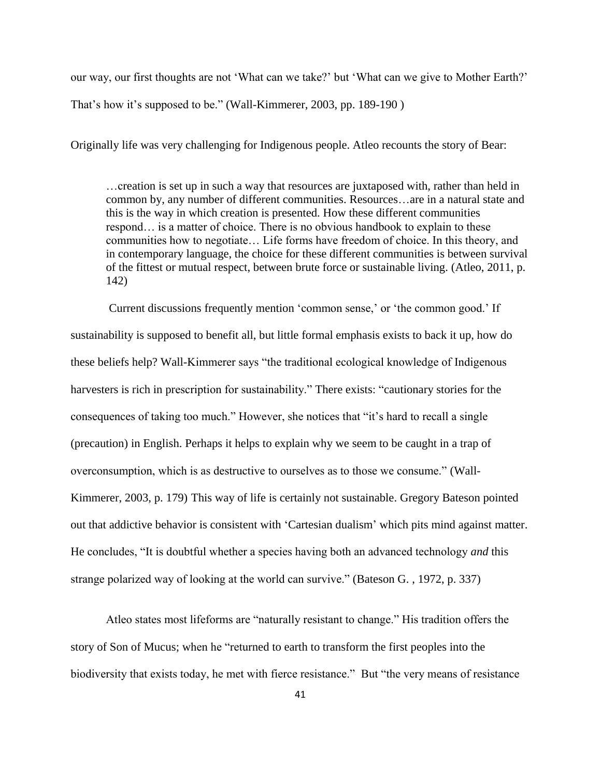our way, our first thoughts are not 'What can we take?' but 'What can we give to Mother Earth?' That's how it's supposed to be." (Wall-Kimmerer, 2003, pp. 189-190 )

Originally life was very challenging for Indigenous people. Atleo recounts the story of Bear:

…creation is set up in such a way that resources are juxtaposed with, rather than held in common by, any number of different communities. Resources…are in a natural state and this is the way in which creation is presented. How these different communities respond… is a matter of choice. There is no obvious handbook to explain to these communities how to negotiate… Life forms have freedom of choice. In this theory, and in contemporary language, the choice for these different communities is between survival of the fittest or mutual respect, between brute force or sustainable living. (Atleo, 2011, p. 142)

Current discussions frequently mention 'common sense,' or 'the common good.' If sustainability is supposed to benefit all, but little formal emphasis exists to back it up, how do these beliefs help? Wall-Kimmerer says "the traditional ecological knowledge of Indigenous harvesters is rich in prescription for sustainability." There exists: "cautionary stories for the consequences of taking too much." However, she notices that "it's hard to recall a single (precaution) in English. Perhaps it helps to explain why we seem to be caught in a trap of overconsumption, which is as destructive to ourselves as to those we consume." (Wall-Kimmerer, 2003, p. 179) This way of life is certainly not sustainable. Gregory Bateson pointed out that addictive behavior is consistent with 'Cartesian dualism' which pits mind against matter. He concludes, "It is doubtful whether a species having both an advanced technology *and* this strange polarized way of looking at the world can survive." (Bateson G. , 1972, p. 337)

Atleo states most lifeforms are "naturally resistant to change." His tradition offers the story of Son of Mucus; when he "returned to earth to transform the first peoples into the biodiversity that exists today, he met with fierce resistance." But "the very means of resistance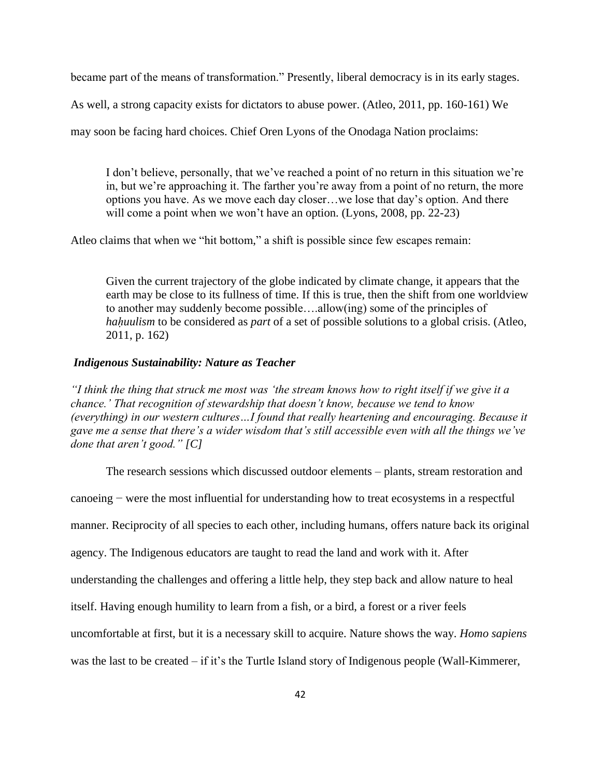became part of the means of transformation." Presently, liberal democracy is in its early stages.

As well, a strong capacity exists for dictators to abuse power. (Atleo, 2011, pp. 160-161) We

may soon be facing hard choices. Chief Oren Lyons of the Onodaga Nation proclaims:

I don't believe, personally, that we've reached a point of no return in this situation we're in, but we're approaching it. The farther you're away from a point of no return, the more options you have. As we move each day closer…we lose that day's option. And there will come a point when we won't have an option. (Lyons, 2008, pp. 22-23)

Atleo claims that when we "hit bottom," a shift is possible since few escapes remain:

Given the current trajectory of the globe indicated by climate change, it appears that the earth may be close to its fullness of time. If this is true, then the shift from one worldview to another may suddenly become possible….allow(ing) some of the principles of *hahuulism* to be considered as *part* of a set of possible solutions to a global crisis. (Atleo, 2011, p. 162)

#### <span id="page-51-0"></span>*Indigenous Sustainability: Nature as Teacher*

*"I think the thing that struck me most was 'the stream knows how to right itself if we give it a chance.' That recognition of stewardship that doesn't know, because we tend to know (everything) in our western cultures…I found that really heartening and encouraging. Because it gave me a sense that there's a wider wisdom that's still accessible even with all the things we've done that aren't good." [C]*

The research sessions which discussed outdoor elements – plants, stream restoration and canoeing − were the most influential for understanding how to treat ecosystems in a respectful manner. Reciprocity of all species to each other, including humans, offers nature back its original agency. The Indigenous educators are taught to read the land and work with it. After understanding the challenges and offering a little help, they step back and allow nature to heal itself. Having enough humility to learn from a fish, or a bird, a forest or a river feels uncomfortable at first, but it is a necessary skill to acquire. Nature shows the way. *Homo sapiens*  was the last to be created – if it's the Turtle Island story of Indigenous people (Wall-Kimmerer,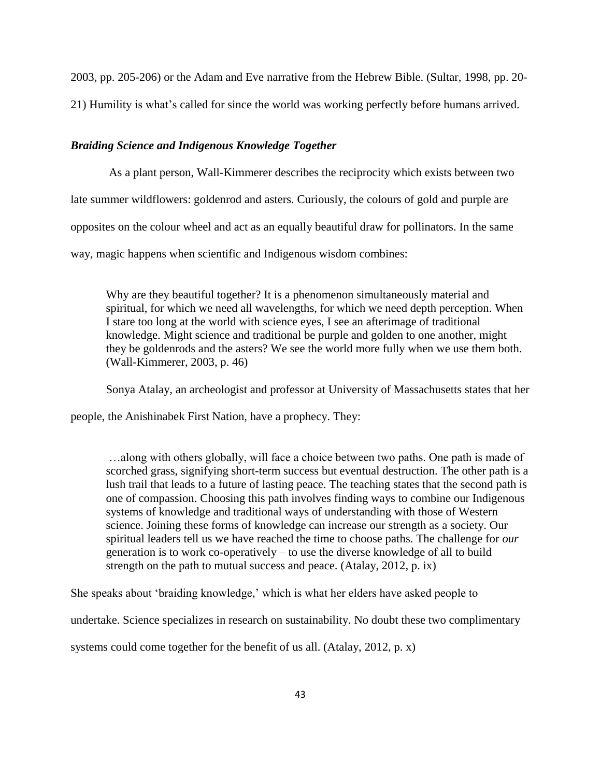2003, pp. 205-206) or the Adam and Eve narrative from the Hebrew Bible. (Sultar, 1998, pp. 20- 21) Humility is what's called for since the world was working perfectly before humans arrived.

#### <span id="page-52-0"></span>*Braiding Science and Indigenous Knowledge Together*

As a plant person, Wall-Kimmerer describes the reciprocity which exists between two late summer wildflowers: goldenrod and asters. Curiously, the colours of gold and purple are opposites on the colour wheel and act as an equally beautiful draw for pollinators. In the same way, magic happens when scientific and Indigenous wisdom combines:

Why are they beautiful together? It is a phenomenon simultaneously material and spiritual, for which we need all wavelengths, for which we need depth perception. When I stare too long at the world with science eyes, I see an afterimage of traditional knowledge. Might science and traditional be purple and golden to one another, might they be goldenrods and the asters? We see the world more fully when we use them both. (Wall-Kimmerer, 2003, p. 46)

Sonya Atalay, an archeologist and professor at University of Massachusetts states that her

people, the Anishinabek First Nation, have a prophecy. They:

…along with others globally, will face a choice between two paths. One path is made of scorched grass, signifying short-term success but eventual destruction. The other path is a lush trail that leads to a future of lasting peace. The teaching states that the second path is one of compassion. Choosing this path involves finding ways to combine our Indigenous systems of knowledge and traditional ways of understanding with those of Western science. Joining these forms of knowledge can increase our strength as a society. Our spiritual leaders tell us we have reached the time to choose paths. The challenge for *our* generation is to work co-operatively – to use the diverse knowledge of all to build strength on the path to mutual success and peace. (Atalay, 2012, p. ix)

She speaks about 'braiding knowledge,' which is what her elders have asked people to

undertake. Science specializes in research on sustainability. No doubt these two complimentary

systems could come together for the benefit of us all. (Atalay, 2012, p. x)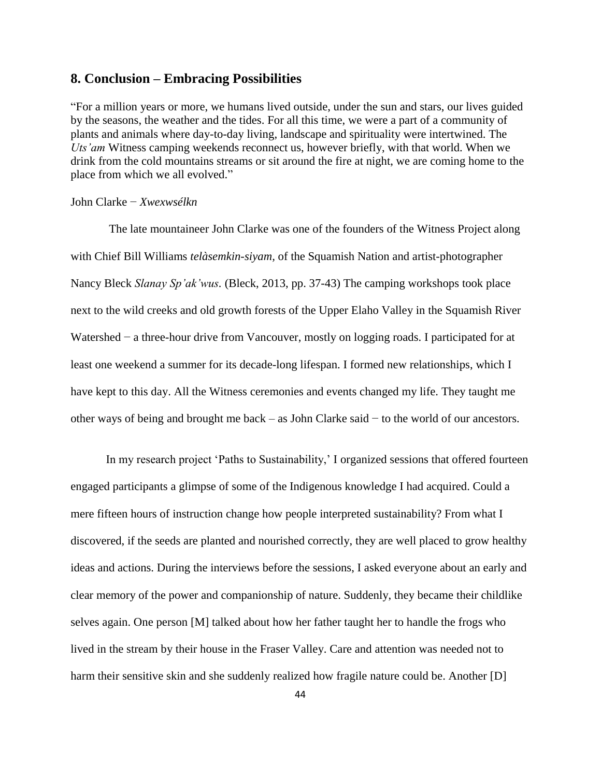#### <span id="page-53-0"></span>**8. Conclusion – Embracing Possibilities**

"For a million years or more, we humans lived outside, under the sun and stars, our lives guided by the seasons, the weather and the tides. For all this time, we were a part of a community of plants and animals where day-to-day living, landscape and spirituality were intertwined. The *Uts'am* Witness camping weekends reconnect us, however briefly, with that world. When we drink from the cold mountains streams or sit around the fire at night, we are coming home to the place from which we all evolved."

#### John Clarke − *Xwexwsélkn*

The late mountaineer John Clarke was one of the founders of the Witness Project along with Chief Bill Williams *telàsemkin-siyam,* of the Squamish Nation and artist-photographer Nancy Bleck *Slanay Sp'ak'wus.* (Bleck, 2013, pp. 37-43) The camping workshops took place next to the wild creeks and old growth forests of the Upper Elaho Valley in the Squamish River Watershed − a three-hour drive from Vancouver, mostly on logging roads. I participated for at least one weekend a summer for its decade-long lifespan. I formed new relationships, which I have kept to this day. All the Witness ceremonies and events changed my life. They taught me other ways of being and brought me back – as John Clarke said − to the world of our ancestors.

In my research project 'Paths to Sustainability,' I organized sessions that offered fourteen engaged participants a glimpse of some of the Indigenous knowledge I had acquired. Could a mere fifteen hours of instruction change how people interpreted sustainability? From what I discovered, if the seeds are planted and nourished correctly, they are well placed to grow healthy ideas and actions. During the interviews before the sessions, I asked everyone about an early and clear memory of the power and companionship of nature. Suddenly, they became their childlike selves again. One person [M] talked about how her father taught her to handle the frogs who lived in the stream by their house in the Fraser Valley. Care and attention was needed not to harm their sensitive skin and she suddenly realized how fragile nature could be. Another [D]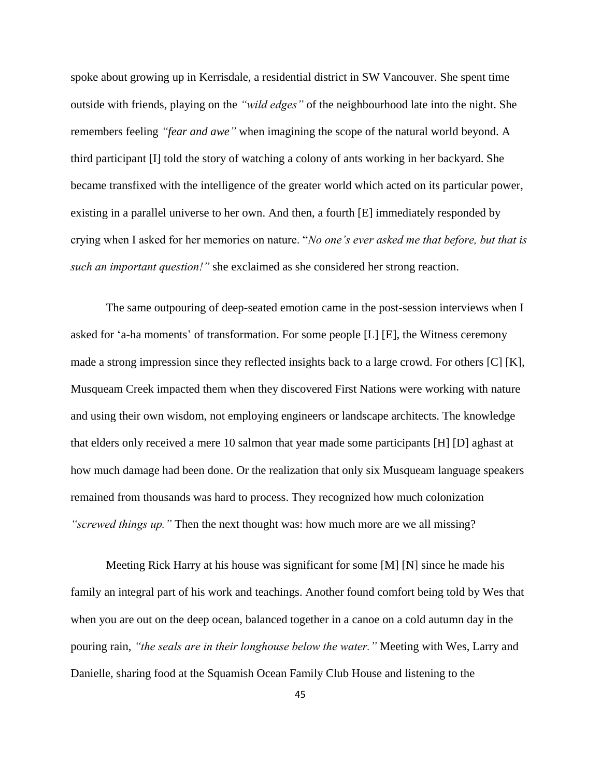spoke about growing up in Kerrisdale, a residential district in SW Vancouver. She spent time outside with friends, playing on the *"wild edges"* of the neighbourhood late into the night. She remembers feeling *"fear and awe"* when imagining the scope of the natural world beyond. A third participant [I] told the story of watching a colony of ants working in her backyard. She became transfixed with the intelligence of the greater world which acted on its particular power, existing in a parallel universe to her own. And then, a fourth [E] immediately responded by crying when I asked for her memories on nature. "*No one's ever asked me that before, but that is such an important question!"* she exclaimed as she considered her strong reaction.

The same outpouring of deep-seated emotion came in the post-session interviews when I asked for 'a-ha moments' of transformation. For some people [L] [E], the Witness ceremony made a strong impression since they reflected insights back to a large crowd. For others [C] [K], Musqueam Creek impacted them when they discovered First Nations were working with nature and using their own wisdom, not employing engineers or landscape architects. The knowledge that elders only received a mere 10 salmon that year made some participants [H] [D] aghast at how much damage had been done. Or the realization that only six Musqueam language speakers remained from thousands was hard to process. They recognized how much colonization *"screwed things up."* Then the next thought was: how much more are we all missing?

Meeting Rick Harry at his house was significant for some [M] [N] since he made his family an integral part of his work and teachings. Another found comfort being told by Wes that when you are out on the deep ocean, balanced together in a canoe on a cold autumn day in the pouring rain, *"the seals are in their longhouse below the water."* Meeting with Wes, Larry and Danielle, sharing food at the Squamish Ocean Family Club House and listening to the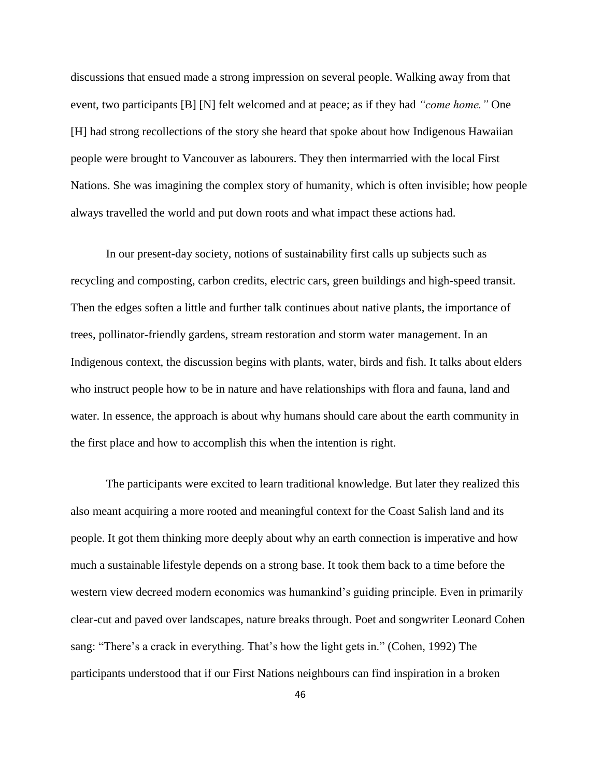discussions that ensued made a strong impression on several people. Walking away from that event, two participants [B] [N] felt welcomed and at peace; as if they had *"come home."* One [H] had strong recollections of the story she heard that spoke about how Indigenous Hawaiian people were brought to Vancouver as labourers. They then intermarried with the local First Nations. She was imagining the complex story of humanity, which is often invisible; how people always travelled the world and put down roots and what impact these actions had.

In our present-day society, notions of sustainability first calls up subjects such as recycling and composting, carbon credits, electric cars, green buildings and high-speed transit. Then the edges soften a little and further talk continues about native plants, the importance of trees, pollinator-friendly gardens, stream restoration and storm water management. In an Indigenous context, the discussion begins with plants, water, birds and fish. It talks about elders who instruct people how to be in nature and have relationships with flora and fauna, land and water. In essence, the approach is about why humans should care about the earth community in the first place and how to accomplish this when the intention is right.

The participants were excited to learn traditional knowledge. But later they realized this also meant acquiring a more rooted and meaningful context for the Coast Salish land and its people. It got them thinking more deeply about why an earth connection is imperative and how much a sustainable lifestyle depends on a strong base. It took them back to a time before the western view decreed modern economics was humankind's guiding principle. Even in primarily clear-cut and paved over landscapes, nature breaks through. Poet and songwriter Leonard Cohen sang: "There's a crack in everything. That's how the light gets in." (Cohen, 1992) The participants understood that if our First Nations neighbours can find inspiration in a broken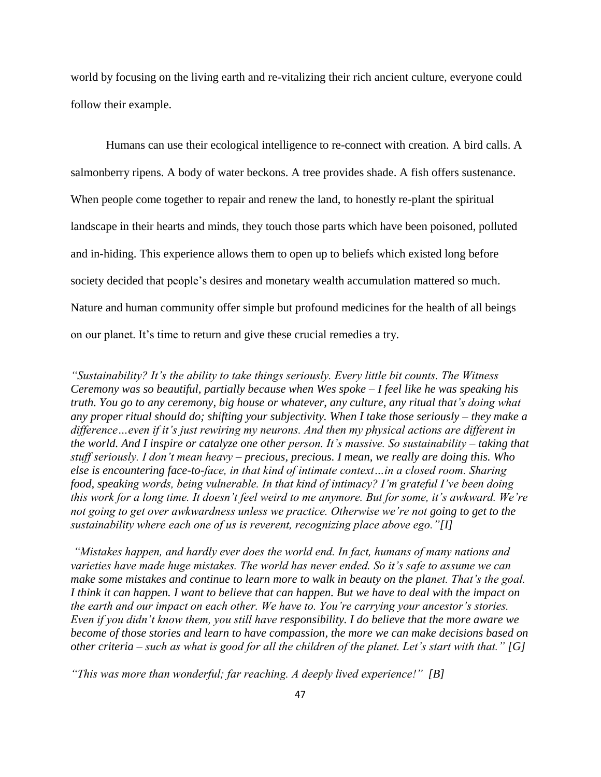world by focusing on the living earth and re-vitalizing their rich ancient culture, everyone could follow their example.

Humans can use their ecological intelligence to re-connect with creation. A bird calls. A salmonberry ripens. A body of water beckons. A tree provides shade. A fish offers sustenance. When people come together to repair and renew the land, to honestly re-plant the spiritual landscape in their hearts and minds, they touch those parts which have been poisoned, polluted and in-hiding. This experience allows them to open up to beliefs which existed long before society decided that people's desires and monetary wealth accumulation mattered so much. Nature and human community offer simple but profound medicines for the health of all beings on our planet. It's time to return and give these crucial remedies a try.

*"Sustainability? It's the ability to take things seriously. Every little bit counts. The Witness Ceremony was so beautiful, partially because when Wes spoke – I feel like he was speaking his truth. You go to any ceremony, big house or whatever, any culture, any ritual that's doing what any proper ritual should do; shifting your subjectivity. When I take those seriously – they make a difference…even if it's just rewiring my neurons. And then my physical actions are different in the world. And I inspire or catalyze one other person. It's massive. So sustainability – taking that stuff seriously. I don't mean heavy – precious, precious. I mean, we really are doing this. Who else is encountering face-to-face, in that kind of intimate context…in a closed room. Sharing food, speaking words, being vulnerable. In that kind of intimacy? I'm grateful I've been doing this work for a long time. It doesn't feel weird to me anymore. But for some, it's awkward. We're not going to get over awkwardness unless we practice. Otherwise we're not going to get to the sustainability where each one of us is reverent, recognizing place above ego."[I]*

*"Mistakes happen, and hardly ever does the world end. In fact, humans of many nations and varieties have made huge mistakes. The world has never ended. So it's safe to assume we can make some mistakes and continue to learn more to walk in beauty on the planet. That's the goal. I think it can happen. I want to believe that can happen. But we have to deal with the impact on the earth and our impact on each other. We have to. You're carrying your ancestor's stories. Even if you didn't know them, you still have responsibility. I do believe that the more aware we become of those stories and learn to have compassion, the more we can make decisions based on other criteria – such as what is good for all the children of the planet. Let's start with that." [G]*

*"This was more than wonderful; far reaching. A deeply lived experience!" [B]*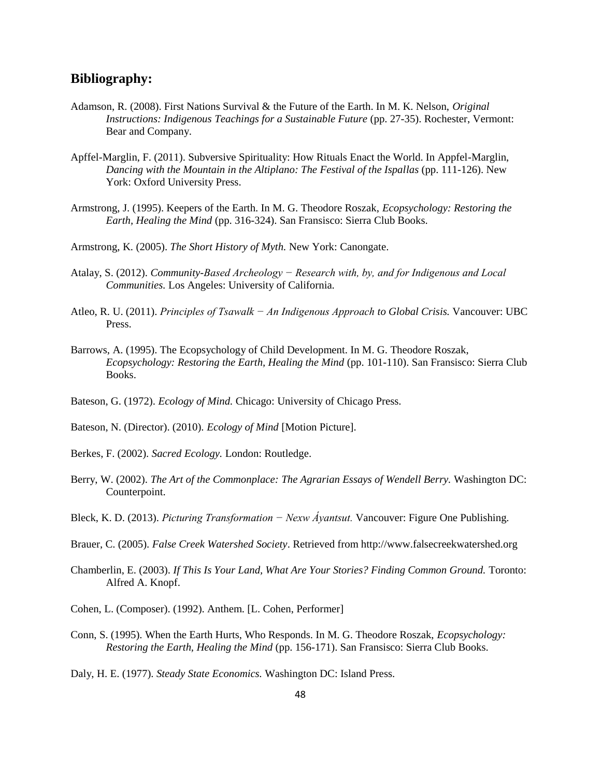## <span id="page-57-0"></span>**Bibliography:**

- Adamson, R. (2008). First Nations Survival & the Future of the Earth. In M. K. Nelson, *Original Instructions: Indigenous Teachings for a Sustainable Future* (pp. 27-35). Rochester, Vermont: Bear and Company.
- Apffel-Marglin, F. (2011). Subversive Spirituality: How Rituals Enact the World. In Appfel-Marglin, *Dancing with the Mountain in the Altiplano: The Festival of the Ispallas* (pp. 111-126). New York: Oxford University Press.
- Armstrong, J. (1995). Keepers of the Earth. In M. G. Theodore Roszak, *Ecopsychology: Restoring the Earth, Healing the Mind* (pp. 316-324). San Fransisco: Sierra Club Books.
- Armstrong, K. (2005). *The Short History of Myth.* New York: Canongate.
- Atalay, S. (2012). *Community-Based Archeology − Research with, by, and for Indigenous and Local Communities.* Los Angeles: University of California.
- Atleo, R. U. (2011). *Principles of Tsawalk − An Indigenous Approach to Global Crisis.* Vancouver: UBC Press.
- Barrows, A. (1995). The Ecopsychology of Child Development. In M. G. Theodore Roszak, *Ecopsychology: Restoring the Earth, Healing the Mind* (pp. 101-110). San Fransisco: Sierra Club Books.
- Bateson, G. (1972). *Ecology of Mind.* Chicago: University of Chicago Press.
- Bateson, N. (Director). (2010). *Ecology of Mind* [Motion Picture].
- Berkes, F. (2002). *Sacred Ecology.* London: Routledge.
- Berry, W. (2002). *The Art of the Commonplace: The Agrarian Essays of Wendell Berry.* Washington DC: Counterpoint.
- Bleck, K. D. (2013). *Picturing Transformation − Nexw Áyantsut.* Vancouver: Figure One Publishing.
- Brauer, C. (2005). *False Creek Watershed Society*. Retrieved from http://www.falsecreekwatershed.org
- Chamberlin, E. (2003). *If This Is Your Land, What Are Your Stories? Finding Common Ground.* Toronto: Alfred A. Knopf.
- Cohen, L. (Composer). (1992). Anthem. [L. Cohen, Performer]
- Conn, S. (1995). When the Earth Hurts, Who Responds. In M. G. Theodore Roszak, *Ecopsychology: Restoring the Earth, Healing the Mind* (pp. 156-171). San Fransisco: Sierra Club Books.

Daly, H. E. (1977). *Steady State Economics.* Washington DC: Island Press.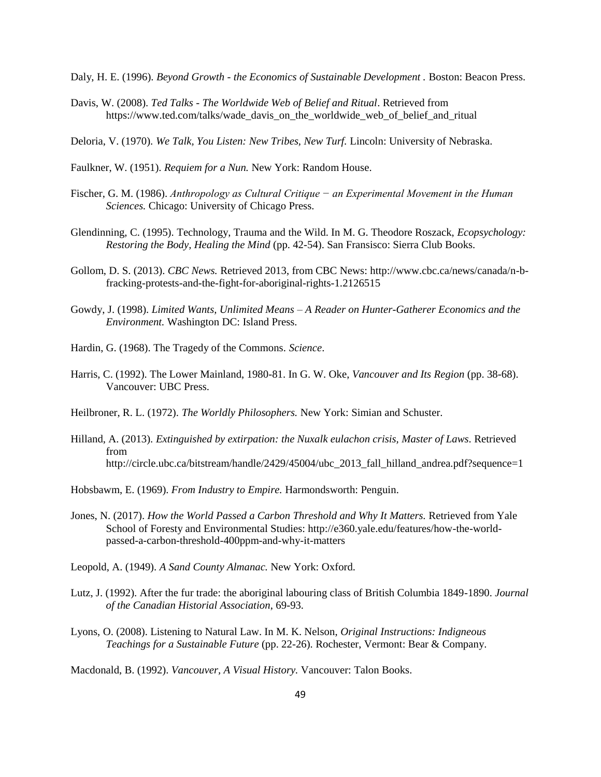Daly, H. E. (1996). *Beyond Growth - the Economics of Sustainable Development .* Boston: Beacon Press.

- Davis, W. (2008). *Ted Talks - The Worldwide Web of Belief and Ritual*. Retrieved from https://www.ted.com/talks/wade\_davis\_on\_the\_worldwide\_web\_of\_belief\_and\_ritual
- Deloria, V. (1970). *We Talk, You Listen: New Tribes, New Turf.* Lincoln: University of Nebraska.
- Faulkner, W. (1951). *Requiem for a Nun.* New York: Random House.
- Fischer, G. M. (1986). *Anthropology as Cultural Critique − an Experimental Movement in the Human Sciences.* Chicago: University of Chicago Press.
- Glendinning, C. (1995). Technology, Trauma and the Wild. In M. G. Theodore Roszack, *Ecopsychology: Restoring the Body, Healing the Mind* (pp. 42-54). San Fransisco: Sierra Club Books.
- Gollom, D. S. (2013). *CBC News.* Retrieved 2013, from CBC News: http://www.cbc.ca/news/canada/n-bfracking-protests-and-the-fight-for-aboriginal-rights-1.2126515
- Gowdy, J. (1998). *Limited Wants, Unlimited Means – A Reader on Hunter-Gatherer Economics and the Environment.* Washington DC: Island Press.
- Hardin, G. (1968). The Tragedy of the Commons. *Science*.
- Harris, C. (1992). The Lower Mainland, 1980-81. In G. W. Oke, *Vancouver and Its Region* (pp. 38-68). Vancouver: UBC Press.
- Heilbroner, R. L. (1972). *The Worldly Philosophers.* New York: Simian and Schuster.
- Hilland, A. (2013). *Extinguished by extirpation: the Nuxalk eulachon crisis, Master of Laws*. Retrieved from http://circle.ubc.ca/bitstream/handle/2429/45004/ubc\_2013\_fall\_hilland\_andrea.pdf?sequence=1
- Hobsbawm, E. (1969). *From Industry to Empire.* Harmondsworth: Penguin.
- Jones, N. (2017). *How the World Passed a Carbon Threshold and Why It Matters.* Retrieved from Yale School of Foresty and Environmental Studies: http://e360.yale.edu/features/how-the-worldpassed-a-carbon-threshold-400ppm-and-why-it-matters
- Leopold, A. (1949). *A Sand County Almanac.* New York: Oxford.
- Lutz, J. (1992). After the fur trade: the aboriginal labouring class of British Columbia 1849-1890. *Journal of the Canadian Historial Association*, 69-93.
- Lyons, O. (2008). Listening to Natural Law. In M. K. Nelson, *Original Instructions: Indigneous Teachings for a Sustainable Future* (pp. 22-26). Rochester, Vermont: Bear & Company.

Macdonald, B. (1992). *Vancouver, A Visual History.* Vancouver: Talon Books.